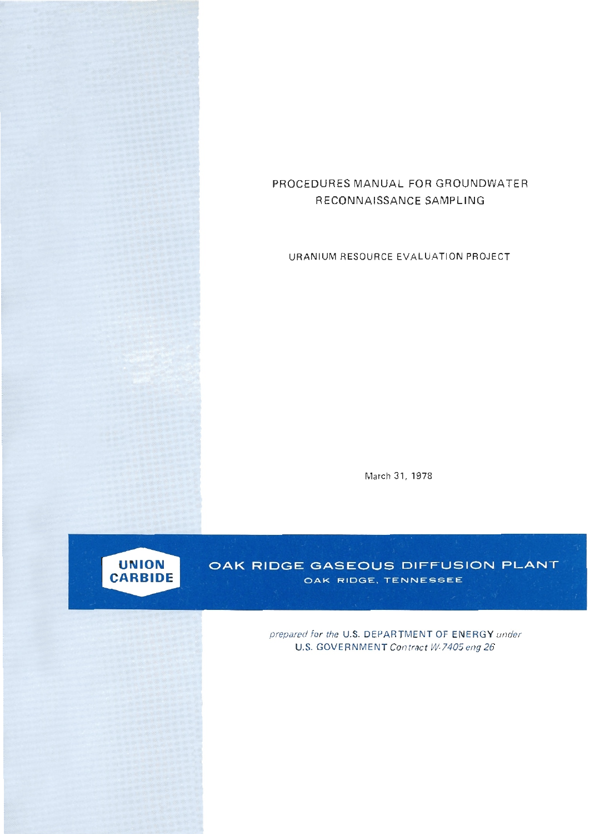# **PROCEDURES MANUAL FOR GROUNDWATER RECONNAISSANCE SAMPLING**

**URANIUM RESOURCE EVALUATION PROJECT** 

**March 31, 1978** 



OAK RIDGE GASEOUS DIFFUSION PLANT OAK RIDGE, TENNESSEE

> **prepared for the US. DEPARTMENT OF ENERGY under U.S. GOVERNMENT Contract W-7405 eng 26**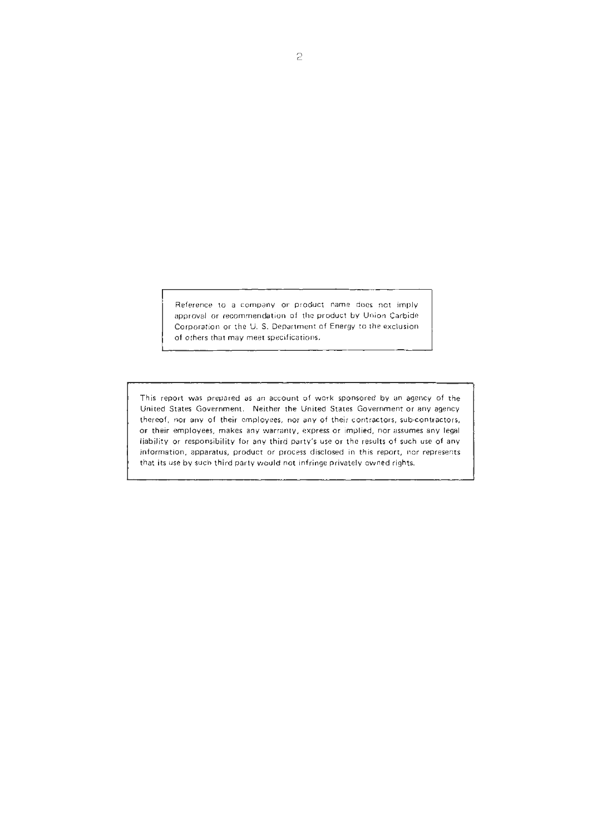Reference to a company **or** product name does not imply approval or recommendation of the product by Union Carbide Corporation or the U. S. Department of Energy to the exclusion of others that may meet specifications.

This report was prepared **as** an account **of** work rponsared by an agency of the United States Government. Neither the United States Government or any agency thereof, **nor** any of their employees, nor any of their contractors, sub-contractors. or their employees, makes any warranty, express or implied, nor assumes any legal liability or responsibility for any third party's use or the results of such use of any information. apparatus, product or process disclosed in this report, nor represents that its use by such third party would not infringe privately owned rights.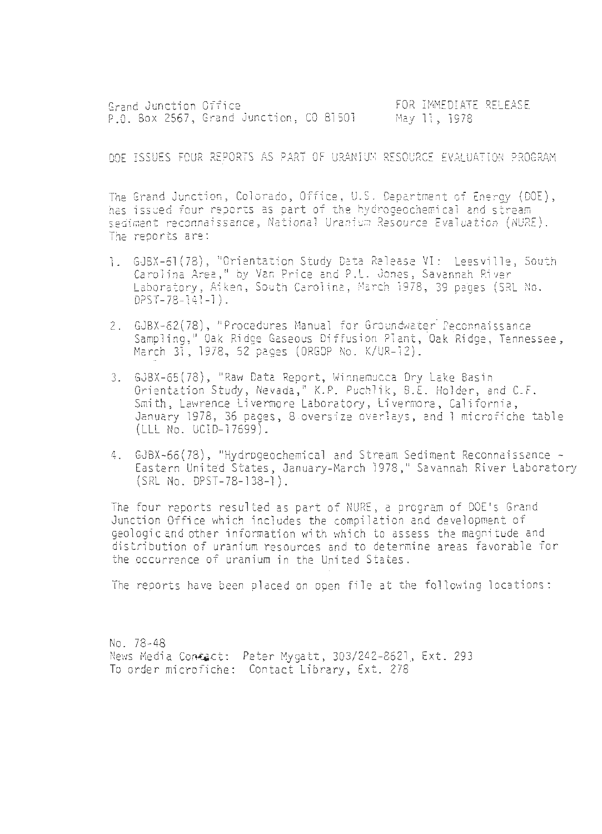Grand Junction Office FOR INMEDIATE RELEASE p.0. 6ox 2567, Grand Junction, CO 81501 May 11, 1978

DOE ISSUES FZUR REPORTS kS PART OF UPANIUIS RESOURCE EVALUATION PROGPAM

The Grand Junction, Colorado, Office, U.S. Department of Energy (DOE),<br>has issued four reports as part of the hydrogeochemical and stream sedimant reconnaissance, National Uranium Resource Evaluation (NURE). The reports are:

- 1. GJBX-61(78), "Orientation Study Data Release VI: Leesville, South Carolina Area," by Van Price and P.L. Jones, Savannah River Laboratory, Aiken, South Carolina, March 1978, 39 pages (SRL No. DPST-78-14! -1 ) .
- 2. GJBX-62(78), "Procedures Manual for Groundwater Peconnaissance Sampling," Oak Ridge Gaseous Diffusion Plant, Oak Ridge, Tennessee, March 31, 1978, 52 pages (ORGDP No. K/UR-12).
- *3.* GJBX-65(78), "Raw Data Report, Winnenucca Dry Lake Basin Orientation Study, Nevada," K.P. Puchlik, B.E. Holder, and C.F. Smith. Lawrence Livermore Laboratory, Livermore, California, January 1978, 36 pages, 8 oversize overlays, and 1 microfiche table (ILL No. UCID-17699).
- 4. GJBX-66(78), "Hydrogeochemical and Stream Sediment Reconnaissance -Eastern United Srates, January-March 1978 ," Savannah River Laboratory (SRL NO. DPST-78-138-1) .

The four reports resulted as part of NURE, a program of DOE's Grand Junction Office which includes the compilation and development of geologic and other information with which to assess the magnitude and distribution of uranium resources and to determine areas favorable Tor the occurrence of uranium in the United States.

The reports have been placed on open file at the following locations:

NO. 78-48 News Media Contact: Peter Mygatt, 303/242-8621, Ext. 293 To order microfiche: Contact Library, Ext. 278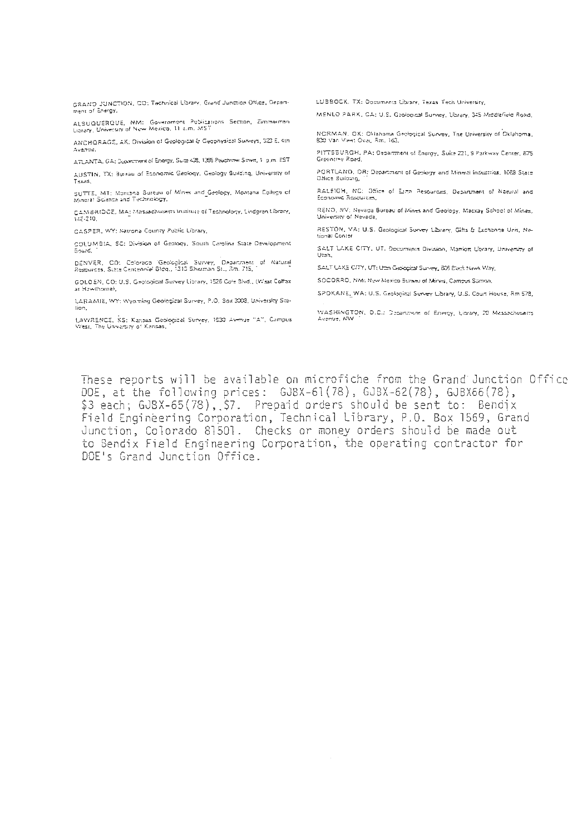GRAND JUNCTION, CO: Technical Ubrary, Grand Junction Office, Departnent of Energy.

ALSUQUERQUE, NM: Government Publicztions Section, Zimmerman<br>Library, University of New Mexico, 11 a.m. MST

ANCHORAGE, AK: Division of Geological & Geophysical Surveys, 322 E. 4th Avenue.

ATLANTA, GA: December of Energy, Suce 438, 1355 Peachtree Street, 1, p.m. EST

ا فضاح المساحي المستحدين.<br>AUSTIN, TX: Bureau of Economic Geology, Geology Building, University of Texas.

 $SUTTE$ , MT: Montana Bureau of Mines and Geology, Montana College of<br>Mineral Science and Technology,

CAMBAIDOE, *MA: Massachusetts Institute* of Technology, Lindgren Library,<br>148-210,

CASPER, WY: Natrona County Public Library,

COLUMBIA, SC: Division of Geology, South Carolina State Development Board,

DENVER, CO: Colorado Geological Survey, Department of Natural<br>Resources, State-Cantenniei Bidd., 1313 Sharman St., Rm. 715,

GOLDEN, CO: U.S. Geological Survey Library, 1526 Cole Blvd., (West Coffax at Hawthorne),

LARAMIE, WY: Wyoming Geological Survey, P.O. Box 3008, University Sta**tion.** 

**LAWRENCE. KS: X1-- Gnbwcd Suncr. IS32 Amue** "r. **Campus Wai. Th\* Unrcriq o! Kansas.** .~

**LUBBOCK.** TX: **Dncumcnu** *Cbi.~,* **Tells Tach 'Iniuer\*,".** 

 $MENLO$  PARX. CA: U.S. Geological Survey, Library, 345 Middlefield Road.

**NCRMkN. OX: Oliahoma Gnhylcal** *SUM(.* **The Unirerriw of OkBhna. E23 van mrr:** ow,. **3a.** ,a.

**PITSZURGH. Pk Oeoamoni rt Energy. SuilcZL1.9 hrkrer Cmrm. m5 Gi~nir~B ad.** 

**PORTUNO. OR: O-nm-8 of Gnb and Minvai indurnies.** ICES **Stam OHmcs Bnmbag.** '.

BALEIGH, NC: Office of Elma Resources, Department of Natural and Economic Resources,

RENO, NV: Nevada Bureau of Mines and Geology, Mackay School of Mines, University of Nevada,

RESTON, VA: U.S. Geological Survey Library, Gitts & Exchange Unit, National Center

SALT LAKE CITY, UT. Decuments Division, Mariott Corary, University of **Liberty** 

SALT LAKE CITY, UT: Uten Geological Survey, 606 Black Hawk Way,

**SOCORRO. XM: Wsr Uexk 3%:- d >finer.** Cam- **Saon.** 

SPOKANE, WA: U.S. Geological Survey Library, U.S. Court House; Rm 578,

WASHINGTON, D.C.: Disarction of Energy, Library, 20 Messachuserts Avenue, NW

These reports will be avajlable on microfiche from the Grand Junction Office DOE, at the following prices : GJSX-61(78), GJSX-62(78). GJBX66(78), \$3 each; GJBX-65(78), \$7. Prepaid orders should be sent to: Bendix Field Engineering Corporation, Technical Library, P.O. Sox 1569, Grand Junction, Colorado 81501. Checks or money orders should be made out to Sendix Field Engineering Corporation, the operating contractor for DCE's Grand Junction Office.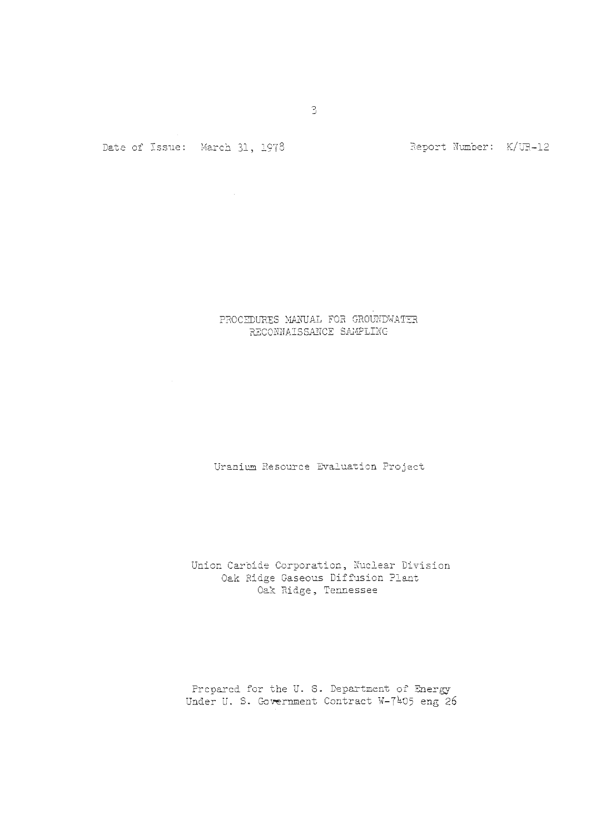Date of Issue: March 31, 1978

Report Number: K/UR-12

# PROCEDURES MANUAL FOR GROUNDWATER RECONNAISSANCE SAMPLING

Uranium Resource Evaluation Project

Union Carbide Corporation, Nuclear Division Oak Ridge Gaseous Diffusion Plant Oak Ridge, Tennessee

Prepared for the U. S. Department of **Energy**  Under U. S. Government Contract W-7405 eng 26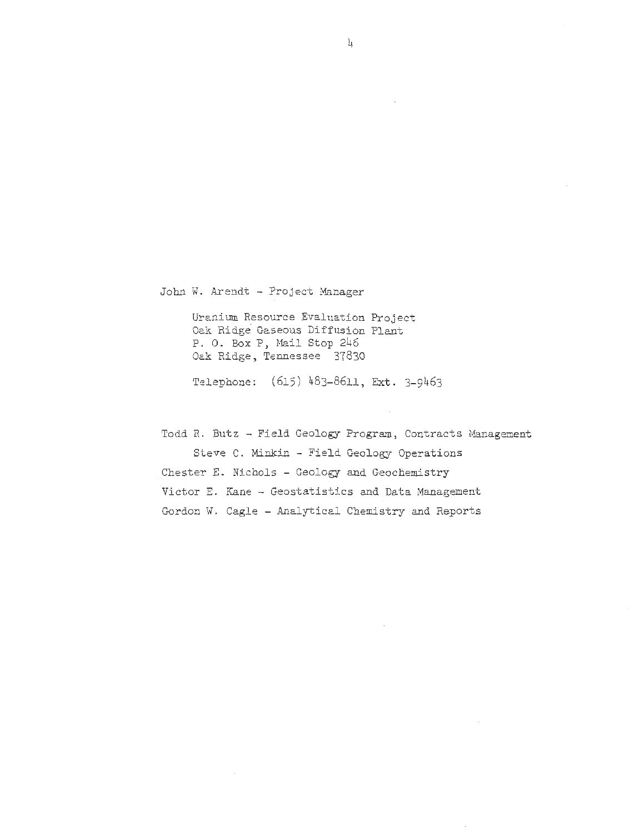John W. Arendt - Project Manager

Uranium Resource Evaluation Project Oak Ridge Gaseous Diffusion Plant P. O. Box P, Mail Stop 246 Oak Ridge, Tennessee 37830

Telephone: (615) 483-8611, Ext. 3-9463

Todd R. Butz - Field Geology Program, Contracts Management Steve C. Minkin - Field Geology Operations Chester E. Nichols - Geology and Geochemistry Victor E. Kane - Geostatistics and Data Management Gordon W. Cagle - Analytical Chemistry and Reports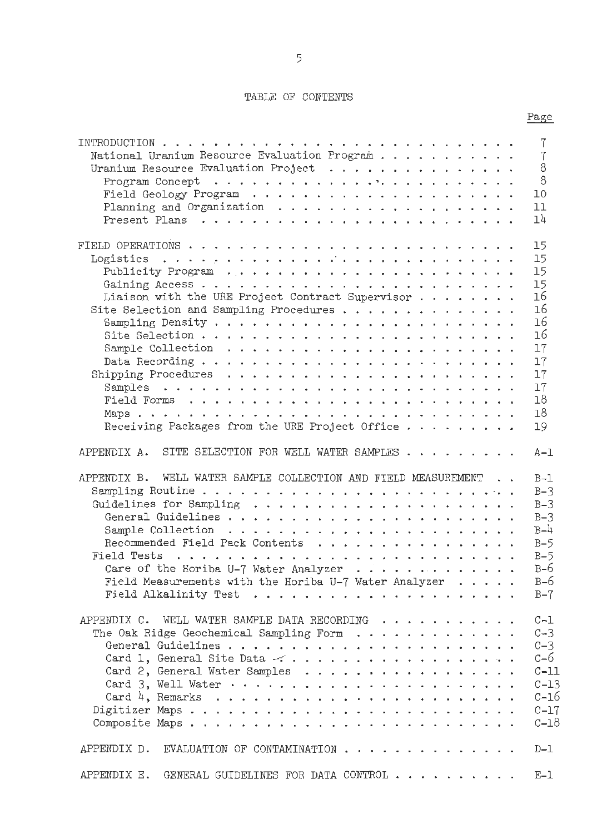## TABLE OF CONTENTS

Page

|                                                                      | 7       |
|----------------------------------------------------------------------|---------|
| National Uranium Resource Evaluation Program                         | 7       |
|                                                                      | 8       |
|                                                                      | 8       |
|                                                                      | 10      |
|                                                                      | 11      |
|                                                                      | 14      |
|                                                                      | 15      |
|                                                                      | 15      |
| Publicity Program $\ldots \ldots \ldots \ldots \ldots \ldots \ldots$ | 15      |
|                                                                      | 15      |
| Liaison with the URE Project Contract Supervisor $\ldots$            | 16      |
| Site Selection and Sampling Procedures                               | 16      |
|                                                                      | 16      |
|                                                                      | 16      |
|                                                                      | 17      |
|                                                                      | 17      |
|                                                                      | 17      |
|                                                                      | 17      |
|                                                                      | 18      |
|                                                                      | 18      |
| Receiving Packages from the URE Project Office                       | 19      |
| SITE SELECTION FOR WELL WATER SAMPLES<br>APPENDIX A.                 | $A-1$   |
| APPENDIX B. WELL WATER SAMPLE COLLECTION AND FIELD MEASUREMENT       | $B-1$   |
|                                                                      | $B-3$   |
|                                                                      | $B-3$   |
|                                                                      | $B-3$   |
|                                                                      | $B-4$   |
| Recommended Field Pack Contents                                      | $B-5$   |
|                                                                      | $B-5$   |
| Care of the Horiba U-7 Water Analyzer $\cdots$                       | $B-6$   |
| Field Measurements with the Horiba U-7 Water Analyzer $\ldots$ .     | $B-6$   |
|                                                                      | $B - 7$ |
| APPENDIX C. WELL WATER SAMPLE DATA RECORDING                         | $C-1$   |
|                                                                      | $C - 3$ |
|                                                                      | $C - 3$ |
|                                                                      | c–6     |
| Card 2, General Water Samples                                        | $C-11$  |
|                                                                      | $C-13$  |
|                                                                      | $C-16$  |
|                                                                      | $C-17$  |
|                                                                      | $C-18$  |
| EVALUATION OF CONTAMINATION<br>APPENDIX D.                           | $D-1$   |
| GENERAL GUIDELINES FOR DATA CONTROL<br>APPENDIX E.                   | $E-1$   |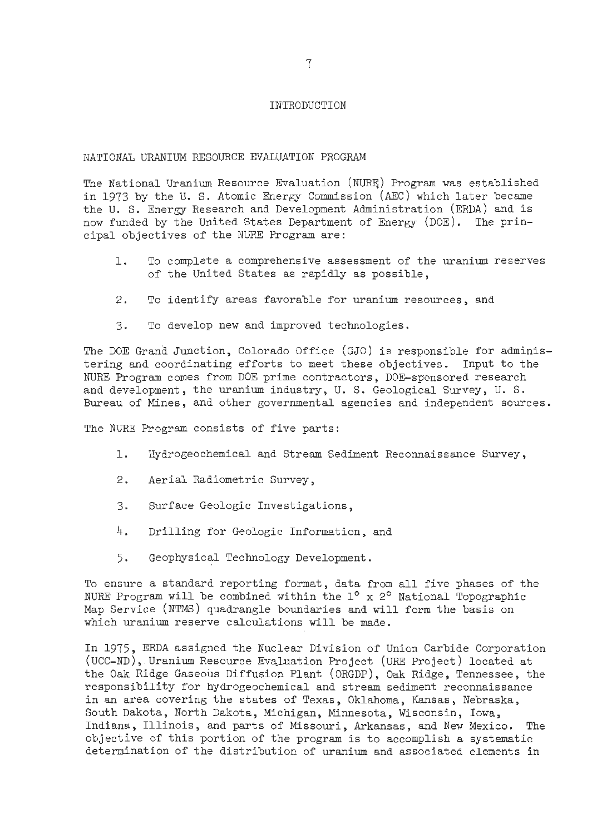#### INTRODUCTION

#### NATIONAL URANIUM RESOURCE EVALUATION PROGRAM

The National Uranium Resource Evaluation (NURE) Program was established in 1973 by the U. S. Atomic Energy Comnission (AEC) which later became the U. S. Energy Research and Development Administration (ERDA) and is now funded by the United States Department of Energy (DOE). The principal objectives of the NURE Program are:

- 1. To complete a comprehensive assessment of the uranium reserves of the United States as rapidly as possible,
- 2. To identify areas favorable for uranium resources, and
- 3. To develop new and improved technologies.

The DOE Grand Junction, Colorado Office (GJO) is responsible for administering and coordinating efforts to meet these objectives. Input to the NURE Program comes from DOE prime contractors, DOE-sponsored research and development, the uranium industry, U. S. Geological Survey, U. S. Bureau of Mines, and other governmental agencies and independent sources.

The NURE Program consists of five parts:

- 1. Hydrogeochemical and Stream Sediment Reconnaissance Survey,
- 2. Aerial Radiometric Survey,
- 3. Surface Geologic Investigations,
- 4. Drilling for Geologic Information, and
- 5. Geophysical Technology Development.

To ensure a standard reporting format, data from all five phases of the NURE Program will be combined within the 1° x 2° National Topographic Map Service (NTMS) quadrangle boundaries and will form the basis on which uranium reserve calculations will be made.

In 1975, ERDA assigned the Nuclear Division of Union Carbide Corporation (UCC-ND), Uranium Resource Evaluation Project (URE Project) located at the Oak Ridge Gaseous Diffusion Plant (ORGDP), Oak Ridge, Tennessee, the responsibility for hydrogeochemical and stream sediment reconnaissance in an area covering the states of Texas, Oklahoma, Kansas, Nebraska, South Dakota, North Dakota, Michigan, Minnesota, Wisconsin, Iowa, Indiana, Illinois, and parts of Missouri, Arkansas, and New Mexico. The objective of this portion of the program is to accomplish a systematic determination of the distribution of uranium and associated elements in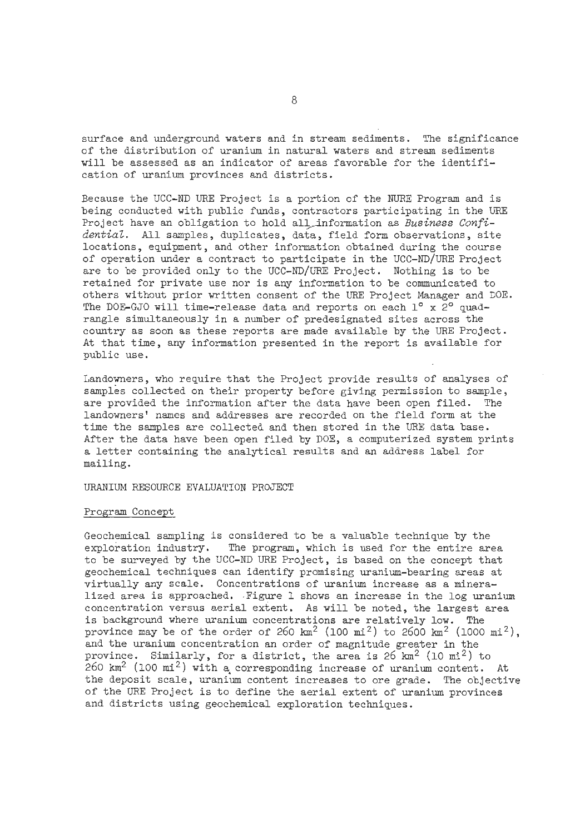surface and underground waters and in stream sediments. The significance of the distribution of uranium in natural waters and stream sediments will be assessed as an indicator of areas favorable for the identification of uranium provinces and districts.

Because the UCC-ND URE Project is a portion of the NURE Program and is being conducted with public funds, contractors participating in the URE Project have an obligation to hold all information as Business Confidential. All samples, duplicates, data, field form observations, site locations, equipment, and other information obtained during the course of operation under a contract to participate in the UCC-ND/URE Project are to be provided only to the UCC-ND/URE Project. Nothing is to be retained for private use nor is any information to be communicated to others without prior written consent of the **URE** Project Manager and DOE. The DOE-GJO will time-release data and reports on each  $1^\circ$  x 2° quadrangle simultaneously in a number of predesignated sites across the country as soon as these reports are made available by the URE Project. At that time, any information presented in the report is available for public use.

Landowners, who require that the Project provide results of analyses of samples collected on their property before giving permission to sample, are provided the information after the data have been open filed. The landowners' names and addresses are recorded on the field form at the time the samples are collected and then stored in the URE data base. After the data have been open filed by DOE, a computerized system prints a letter containing the analytical results and an address label for mailing.

URANIUM RESOURCE EVALUATION PROJECT

#### Program Concept

Geochemical sapling is considered to be a valuable technique by the exploration industry. The program, which is used for the entire area to be surveyed by the UCC-ND URE Project, is based on the concept that geochemical techniques can identify promising uranium-bearing areas at virtually any scale. Concentrations of uranium increase as a mineralized area is approached. Figure l shows an increase in the log uranium concentration versus aerial extent. As will be noted, the largest area is background where uranium concentrations are relatively low. The province may be of the order of 260  $km^2$  (100  $mi^2$ ) to 2600  $km^2$  (1000  $mi^2$ ), and the uranium concentration an order of magnitude greater in the province. Similarly, for a district, the area is  $26 \text{ km}^2$  (10 mi<sup>2</sup>) to  $260 \text{ km}^2$  (100 mi<sup>2</sup>) with a corresponding increase of uranium content. At the deposit scale, uranium content increases to ore grade. The objective of the URE Project is to define the aerial extent of uranium provinces and districts using geochemical exploration techniques.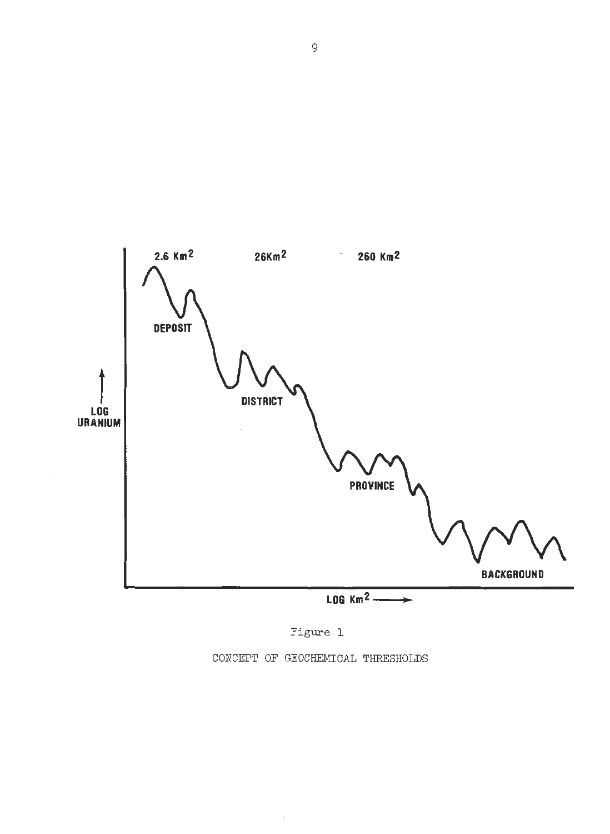



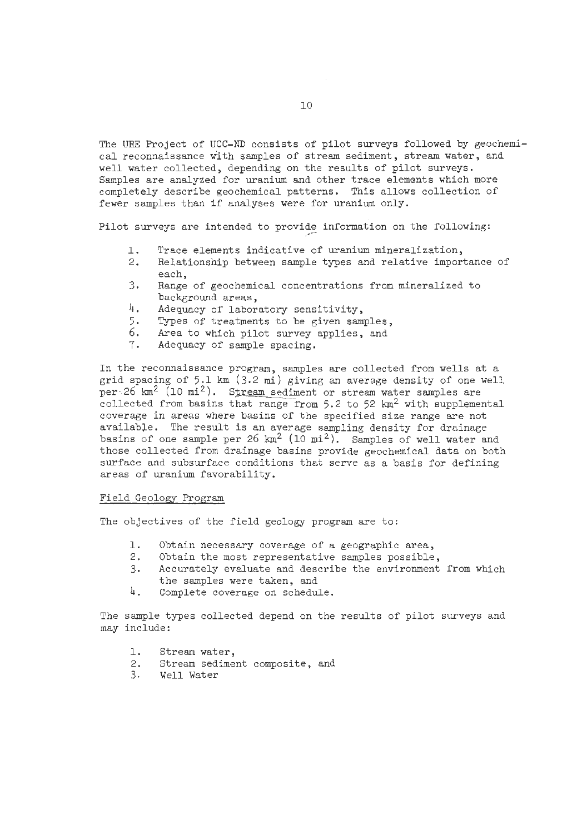The **URE** Project of UCC-ND consists of pilot surveys followed by geochemical reconnaissance with samples of stream sediment, stream water, and well water collected, depending on the results of pilot surveys. Samples are analyzed for uranium and other trace elements which more completely describe geochemical patterns. This allows collection of fewer samples than if analyses were for uranium only.

Pilot surveys are intended to provide information on the following:

- 1. Trace elements indicative of uranium mineralization,<br>2. Relationship between sample types and relative impor
- Relationship between sample types and relative importance of each,
- 3. Range of geochemical concentrations from mineralized to background areas,
- 4. Adequacy of laboratory sensitivity,
- 5. Types of treatments to be given samples,
- 6. Area to which pilot survey applies, and
- 7. Adequacy of sample spacing.

In the reconnaissance program, samples are collected from wells at a grid spacing of 5.1 km (3.2 mi) giving an average density of one well per $26$  km<sup>2</sup> (10 mi<sup>2</sup>). Stream sediment or stream water samples are collected from basins that range from 5.2 to 52  $km^2$  with supplemental coverage in areas where basins of the specified size range are not available. The result is an average sampling density for drainage basins of one sample per 26  $km^2$  (10  $mi^2$ ). Samples of well water and those collected from drainage basins provide geochemical data on both surface and subsurface conditions that serve as a basis for defining areas of uranium favorability.

#### Field Geology Program

The objectives of the field geology program are to:

- 1. Obtain necessary coverage of a geographic area,<br>2. Obtain the most representative samples possible
- Obtain the most representative samples possible,
- 3. Accurately evaluate and describe the environment from which the samples were taken, and
- 4. Complete coverage on schedule.

The sample types collected depend on the results of pilot surveys and may include:

- 1. Stream water,
- 2. Stream sediment composite, and
- 3. Well. Water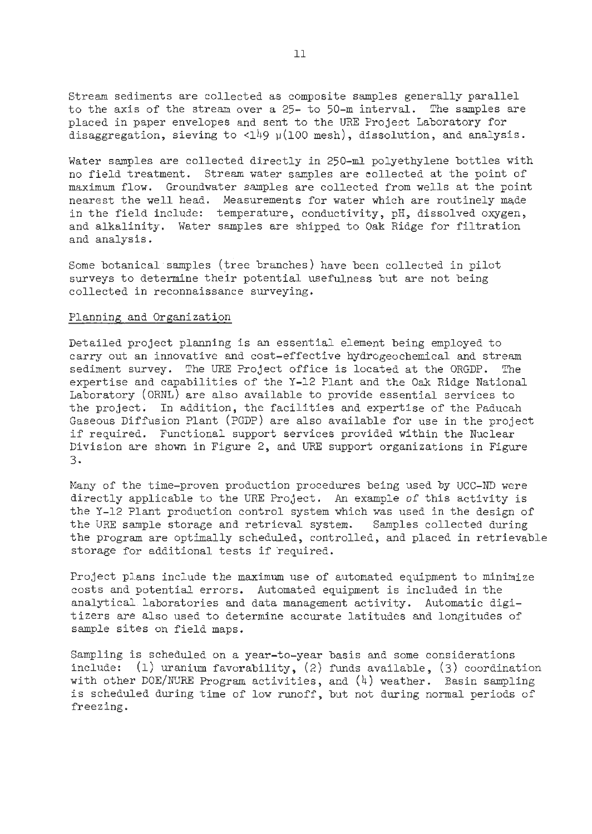Stream sediments are collected as composite samples generally parallel to the axis of the stream over a 25- to 50-m interval. The samples are placed in paper envelopes and sent to the URE Project Laboratory for disaggregation, sieving to <149  $\mu$ (100 mesh), dissolution, and analysis.

Water samples are collected directly in 250-ml polyethylene bottles with no field treatment. Stream water samples are collected at the point of maximum flow. Groundwater samples are collected from wells at the point nearest the well head. Measurements for water which are routinely made in the field include: temperature, conductivity, pH, dissolved oxygen, and alkalinity. Water samples are shipped to Oak Ridge for filtration and analysis.

Some botanical samples (tree branches) have been collected in pilot surveys to determine their potential usefulness but are not being collected in reconnaissance surveying.

#### Planning and Organization

Detailed project planning is an essential element being employed to carry out an innovative and cost-effective hydrogeochemical and stream sediment survey. The URE Project office is located at the ORGDP. The expertise and capabilities of the Y-12 Plant and the Oak. Ridge National Laboratory (ORNL) are also available to provide essential services to the project. In addition, the facilities and expertise of the Paducah Gaseous Diffusion Plant (PGDP) are also available for use in the project if required. Functional support services provided within the Nuclear Division are shown in Figure 2, and URE support organizations in Figure 3.

Many of the time-proven production procedures being used by UCC-ND were directly applicable to the URE Project. An example of this activity is the Y-12 Plant production control system which was used in the design of the URE sample storage and retrieval system. Samples collected during the program are optimally scheduled, controlled, and placed in retrievable storage for additional tests if required.

Project plans include the maximum use of automated equipment to minimize costs and potential errors. Automated equipment is included in the analytical.laboratories and data management activity. Automatic digitizers are also used to determine accurate latitudes and longitudes of sample sites on field maps.

Sampling is scheduled on a year-to-year basis and some considerations include:  $(1)$  uranium favorability,  $(2)$  funds available,  $(3)$  coordination with other DOE/NURE Program activities, and  $(4)$  weather. Basin sampling is scheduled during time of low runoff, but not during normal periods of freezing.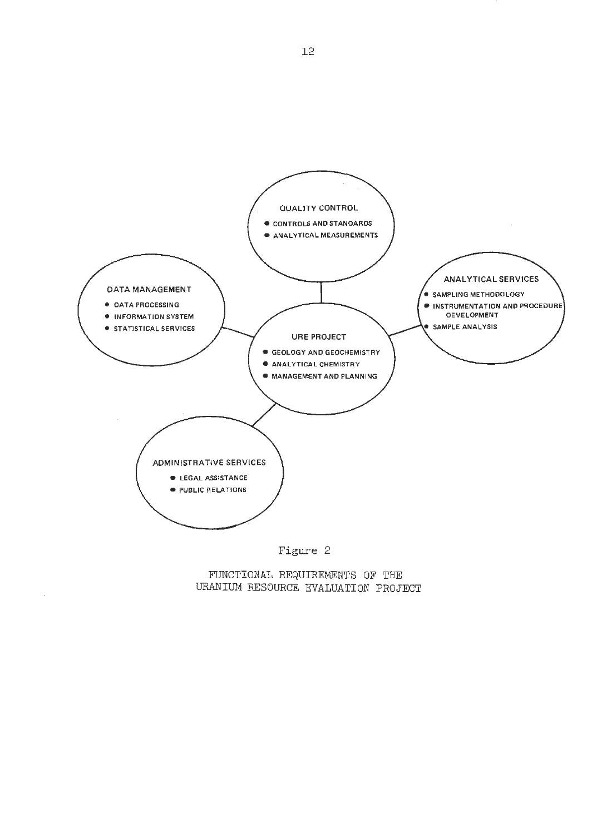

## FUNCTIONAL REQUIREMENTS OF THE URANIUM RESOURCE EVALUATION PROJECT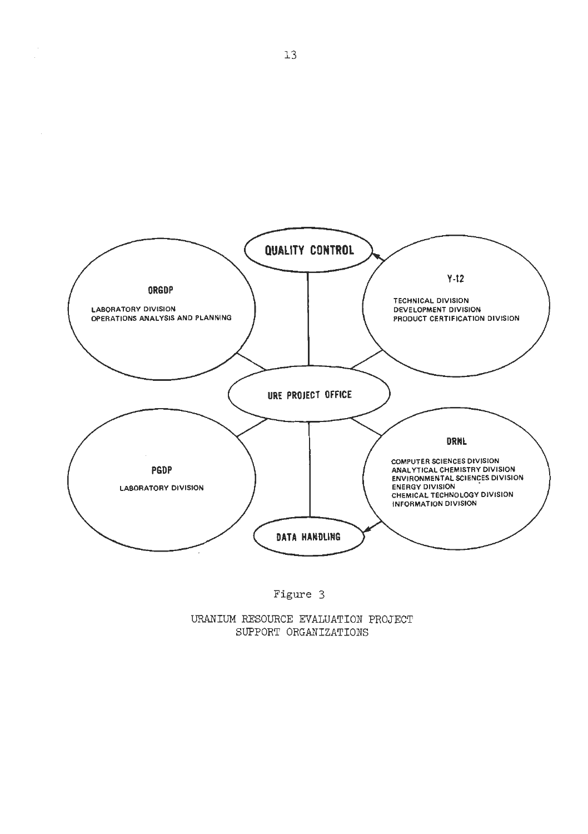

# Figure *3*

UXANIUM **RESOURCE EVALUATION PROJECT SUPPORT ORGANIZATIONS**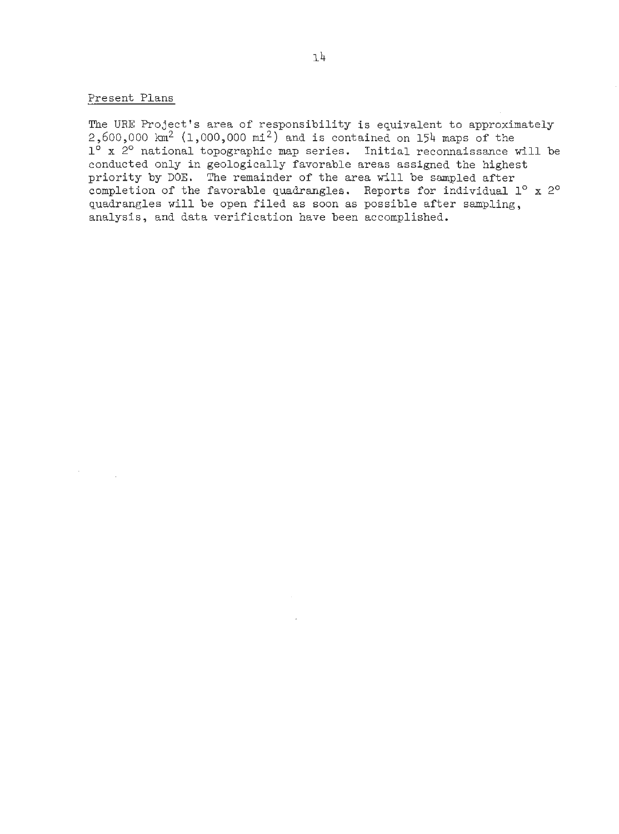#### Present Plans

The URE Project's area of responsibility is equivalent to approximately 2,600,000 **lan2** (1,000,000 mi2) and is contained on 154 maps of the 1<sup>0</sup> x <sup>20</sup> national topographic map series. Initial reconnaissance will be conducted only in geologically favorable areas assigned the highest priority by DOE. The remainder of the area will be sampled after completion of the favorable quadrangles. Reports for individual  $1^{\circ}$  x  $2^{\circ}$ quadrangles will be open filed as soon as possible after sampling, analysis, and data verification have been accomplished.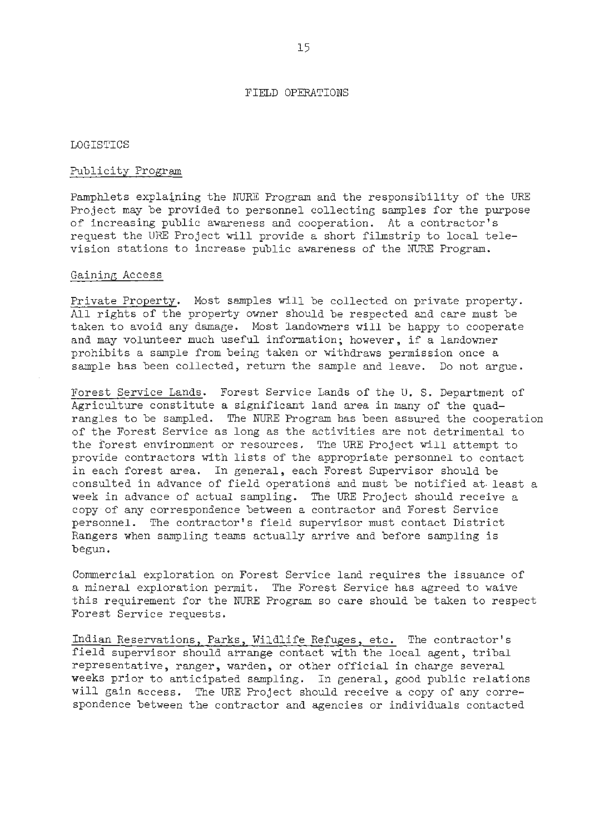#### FIELD OPERATIONS

#### LOGISTICS

#### Publicity Program

Pamphlets explaiping the NJRE Program and the responsibility of the URE Project may be provided to personnel collecting samples for the purpose of increasing public awareness and cooperation. At a contractor's request the URE Project will provide a short filmstrip to local television stations to increase public awareness of the NURE Program.

#### Gaining Access

Private Property. Most samples will be collected on private property. All rights of the property owner should be respected and care must be taken to avoid any damage. Most landowners will be happy to cooperate and may volunteer much useful information; however, if a landowner prohibits a sample from being taken or withdraws permission once a sample has been collected, return the sample and leave. Do not argue.

Forest Service Lands. Forest Service Lands of the U. S. Department of Agriculture constitute a significant land area in many of the quadrangles to be sampled. The NURE Program has been assured the cooperation of the Forest Service as long as the activities are not detrimental to the forest environment or resources. The URE Project will attempt to provide contractors with lists of the appropriate personnel to contact in each forest area. In general, each Forest Supervisor should be consulted in advance of field operations and must be notified at-least a week in advance of actual sampling. The URE Project should receive a copy of any correspondence between a contractor and Forest Service personnel. The contractor's field supervisor must contact District Rangers when sampling teams actually arrive and before sampling is begun.

Commercial exploration on Forest Service land requires the issuance of a mineral exploration permit. The Forest Service has agreed to waive this requirement for the NURE Program so care should be taken to respect Forest Service requests.

Indian Reservations, Parks, Wildlife Refuges, etc. The contractor's field supervisor should arrange contact with the local agent, tribal representative, ranger, warden, or other official in charge several weeks prior to anticipated sampling. In general, good public relations will gain access. The URE Project should receive a copy of any correspondence between the contractor and agencies or individuals contacted.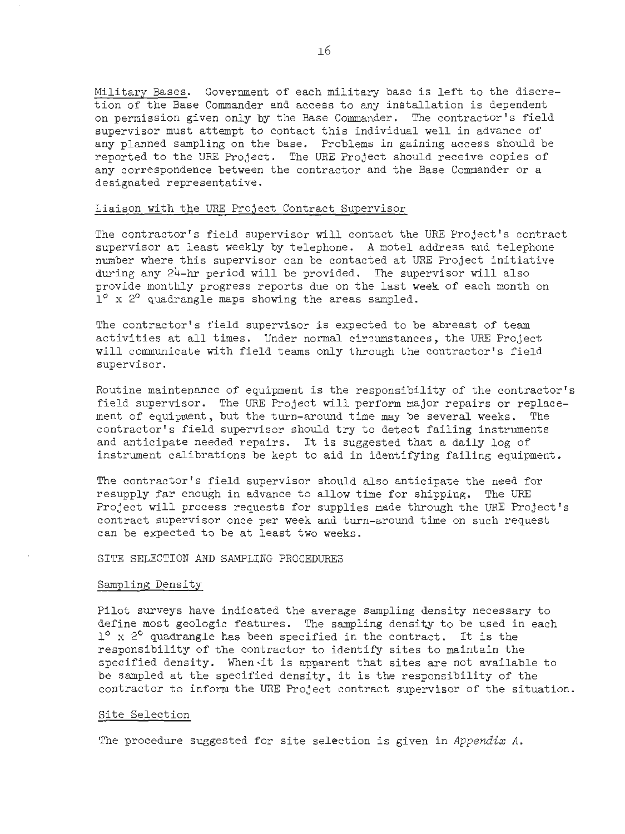Military Bases. Government of each military base is left to the discretion of the Base Commander and access to any installation is dependent on permission given only by the Base Commander. The contractor's field supervisor must attempt to contact this individual well in advance of any planned sampling on the base. Problems in gaining access should be reported to the **URE** Project. The URE Project should receive copies of any correspondence between the contractor and the Base Commander or a designated representative.

#### Liaison with the URE Project Contract Supervisor

The contractor's field supervisor will contact the URE Project's contract supervisor at least weekly by telephone. A motel address and telephone number where this supervisor can be contacted at URE Project initiative during any 24-hr period will be provided. The supervisor will also provide monthly progress reports due on the last week of each month on  $1^{\circ}$  x 2 $^{\circ}$  quadrangle maps showing the areas sampled.

The contractor's field supervisor is expected to be abreast of team activities at all times. Under normal circumstances, the URE Project will communicate with field teams only through the contractor's field supervisor.

Routine maintenance of equipment is the responsibility of the contractor's field supervisor. The URE Project will perform major repairs or replacement of equipment, but the turn-around time may be several weeks. The contractor's field supervisor should try to detect failing instruments and anticipate needed repairs. It is suggested that a daily log of instrument calibrations be kept to aid in identifying failing equipment.

The contractor's field supervisor should also anticipate the need for resupply far enough in advance to allow time for shipping. The URE Project will process requests for supplies made through the URE Project's contract supervisor once per week and turn-around time on such request can be expected to be at least two weeks.

#### SITE SELECTION AND SAMPLING PROCEDURES

#### Sampling Density

Pilot surveys have indicated the average sampling density necessary to define most geologic features. The sampling density to be used in each  $1^{\circ}$  x 2° quadrangle has been specified in the contract. It is the responsibility of the contractor to identify sites to maintain the specified density. When it is apparent that sites are not available to be sampled at the specified density, it is the responsibility of the contractor to inform the URE Project contract supervisor of the situation.

#### Site Selection

The procedure suggested for site selection is given in *Appendix* A.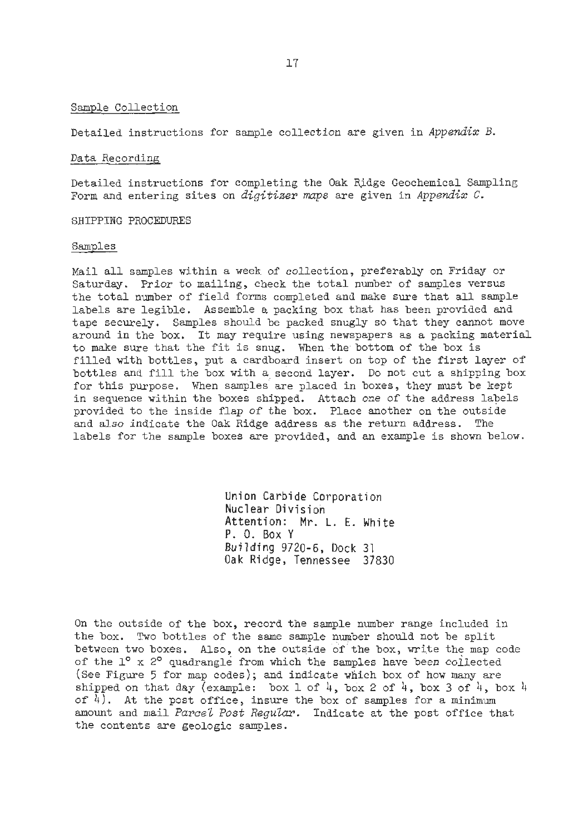#### Sample Collection

Detailed instructions for sample collection are given in **Appendix** B.

#### Data Recording

Detailed instructions for completing the Oak Ridge Geochemical Sampling Form and entering sites on **digitizer** *maps* are given in **Appendix** C.

SHIPPING PROCEDURES

#### Samples

Mail all samples within a week of collection, preferably on Friday or Saturday. Prior to mailing, check the total number of samples versus the total number of field forms completed and make sure that all sample labels are legible. Assemble a packing box that has been provided and tape securely. Samples should be packed snugly so that they cannot move around in the box. It may require using newspapers as a packing material to make sure that the fit is snug. When the bottom of the box is filled with bottles, put a cardboard insert on top of the first layer of bottles and fill the box with a second layer. Do not cut a shipping box for this purpose. When samples are placed in boxes, they must be kept in sequence within the boxes shipped. Attach one of the address labels provided to the inside flap of the box. Place another on the outside and also indicate the Oak Ridge address as the return address. The labels for the sample boxes are provided, and an example is shown below.

> Union Carbide Corporation Nuclear Division Attention: Mr. L. E. White P. 0. Box <sup>Y</sup> Building 9720-6, Dock 31 Oak Ridge, Tennessee 37830

On the outside of the box, record the sample number range included in the box. Two bottles of the same sample number should not be split between two boxes. Also, on the outside of the box, write the map code of the 1<sup>o</sup> x 2<sup>o</sup> quadrangle from which the samples have been collected (See Figure *5* for map codes); and indicate which box of how **many** are shipped on that day (example: box 1 of  $4$ , box 2 of  $4$ , box 3 of  $4$ , box 4 of  $\overline{4}$ ). At the post office, insure the box of samples for a minimum amount and mail *Parcel Post Regular*. Indicate at the post office that the contents are geologic samples.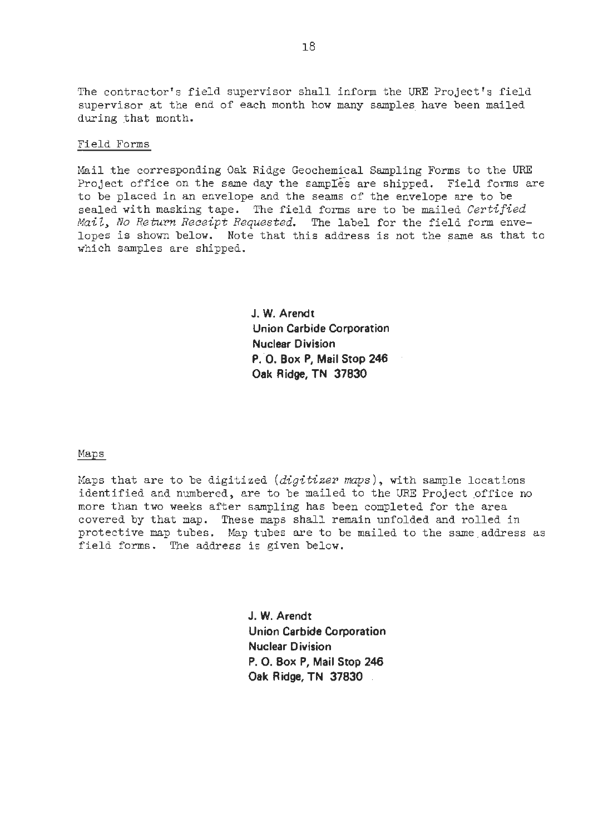The contractor's field supervisor shall inform the URE Project's field supervisor at the end of each month how many samples have been mailed during that month.

#### Field Forms

Mail the corresponding Oak Ridge Geochemical Sampling Forms to the URF Project office on the same day the samples are shipped. Field forms are to be placed in an envelope and the seams of the envelope are to be sealed with masking tape. The field forms are to be mailed *Certified Mail, No Return Receipt Requested.* The label for the field form envelopes is shown below. Note that this address is not the same as that to which samples are shipped.

> **J. W. Arendt Union Carbide Corporation Nuclear Division P. 0. Box P, Mail Stop 246 Oak Ridge, TN 37830**

Maps

Maps that are to be digitized *(digitizer* **maps),** with sample locations identified and numbered, are to be mailed to the URE Project office no more than two weeks after sampling has been completed for the area covered by that map. These maps shall remain unfolded and rolled in protective map tubes. Map tubes are to be mailed to the same address as field forms. The address is given below.

> **J. W. Arendt Union Carbide Corporation Nuclear Division P. 0. Box P, Mail Stop 246 Oak Ridge, TN 37830**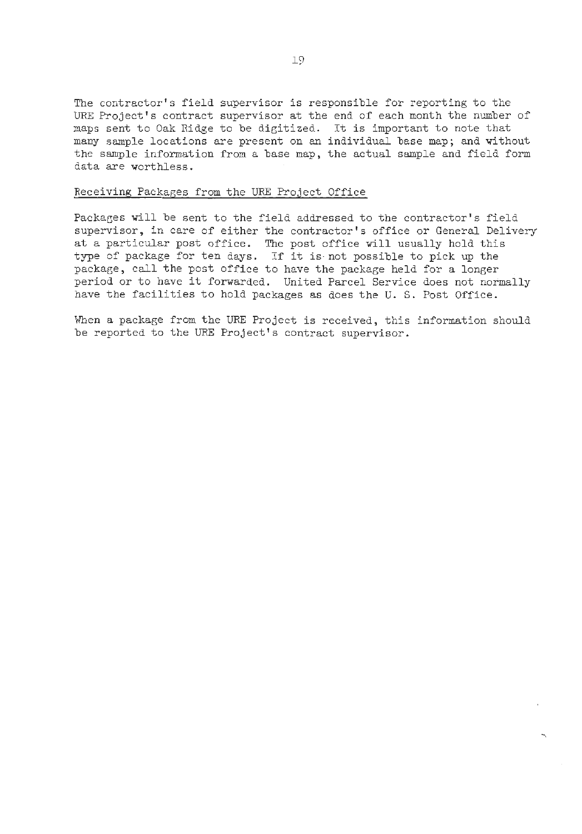The contractor's field supervisor is responsible for reporting to the URE Project's contract supervisor at the end of each month the number of maps sent to Oak Ridge to be digitized. It is important to note that many sample locations are present on an individual base map; and without the sample information from a base map, the actual sample and field form data are worthless.

#### Receiving Packages from the URE Project Office

Packages will be sent to the field addressed to the contractor's field supervisor, in care of either the contractor's office or General Delivery at a particular post office. The post office will usually hold this type of package for ten days. If it is not possible to pick up the package, call the post office to have the package held for a longer period or to have it forwarded. United Parcel Service does not normally have the facilities to hold packages as does the U. **S.** Post Office.

When a package from the URF Project is received, this information should be reported to the URF Project's contract supervisor.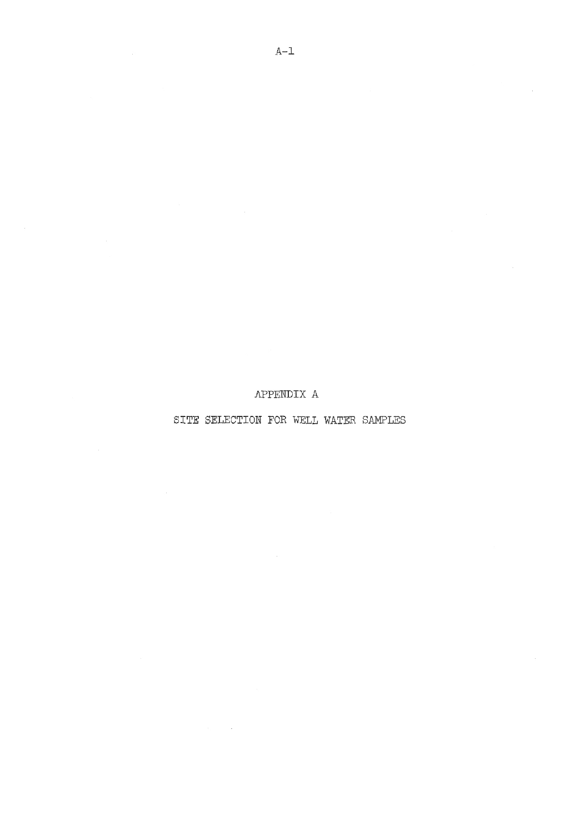APPENDIX A

SITE SELECTION FOR WELL WATER SAMPLES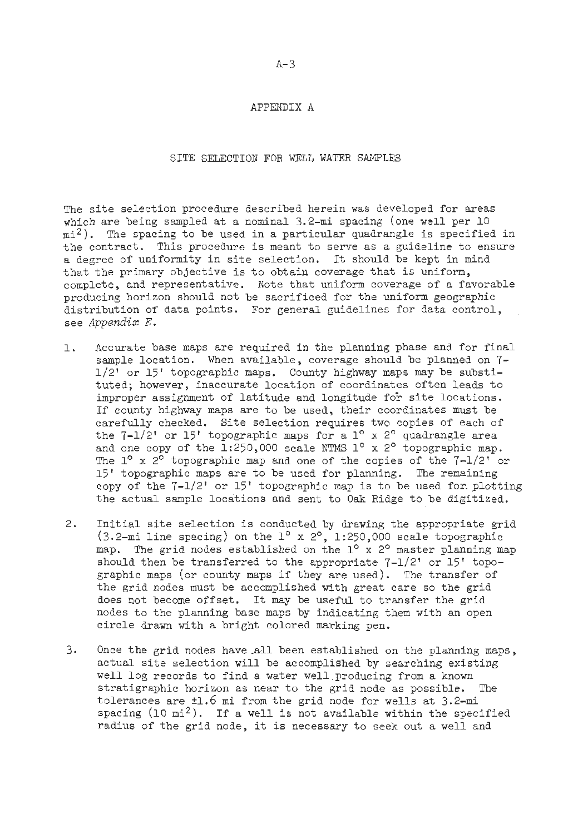#### APPENDIX A

SITE SELECTION FOR WELL WATER SAMPLES

The site selection procedure described herein was developed for areas which are being sampled at a nominal 3.2-mi spacing (one well per 10  $m1<sup>2</sup>$ ). The spacing to be used in a particular quadrangle is specified in the contract. This procedure is meant to serve as a guideline to ensure a degree of uniformity in site selection. It should be kept in mind that the primary objective is to obtain coverage that is uniform, complete, and representative. Note that uniform coverage of a favorable producing horizon should not be sacrificed for the uniform geographic distribution of data points. For general guidelines for data control, , see *Appendix* E.

- 1. Accurate base maps are required in the planning phase and for final sample location. When available, coverage should be planned on 7- 112' or 15' topographic maps. County highway maps may be substituted; however, inaccurate location of coordinates often leads to improper assignment of latitude and longitude for site locations. If county highway maps are to be used, their coordinates must be carefully checked. Site selection requires two copies of each of the  $7-1/2'$  or 15' topographic maps for a  $1^{\circ}$  x 2° quadrangle area and one copy of the  $1:250,000$  scale NTMS  $1^\circ$  x 2° topographic map. The  $1^{\circ}$  x  $2^{\circ}$  topographic map and one of the copies of the  $7-1/2'$  or 15' topographic maps are to be used for planning. The remaining copy of the  $7-1/2$ ' or 15' topographic map is to be used for plotting the actual sample locations and sent to Oak Ridge to be digitized.
- 2. Initial site selection is conducted by drawing the appropriate grid  $(3.2-mi)$  line spacing) on the  $1^{\circ}$  x  $2^{\circ}$ , 1:250,000 scale topographic map. The grid nodes established on the  $1^\circ$  x  $2^\circ$  master planning map should then be transferred to the appropriate  $7-1/2'$  or  $15'$  topographic maps (or county maps if they are used). The transfer of the grid nodes must be accomplished with great care so the grid does not become offset. It may be useful to transfer the grid nodes to the planning base maps by indicating them with an open circle drawn with a bright colored marking pen.
- 3. Once the grid nodes have all been established on the planning maps, actual site selection will be accomplished by searching existing well log records to find a water well producing from a known stratigraphic horizon as near to the grid node as possible. The tolerances are +1.6 mi from the grid node for wells at 3.2-mi spacing  $(10 \text{ mi}^2)$ . If a well is not available within the specified radius of the grid node, it is necessary to seek out a well and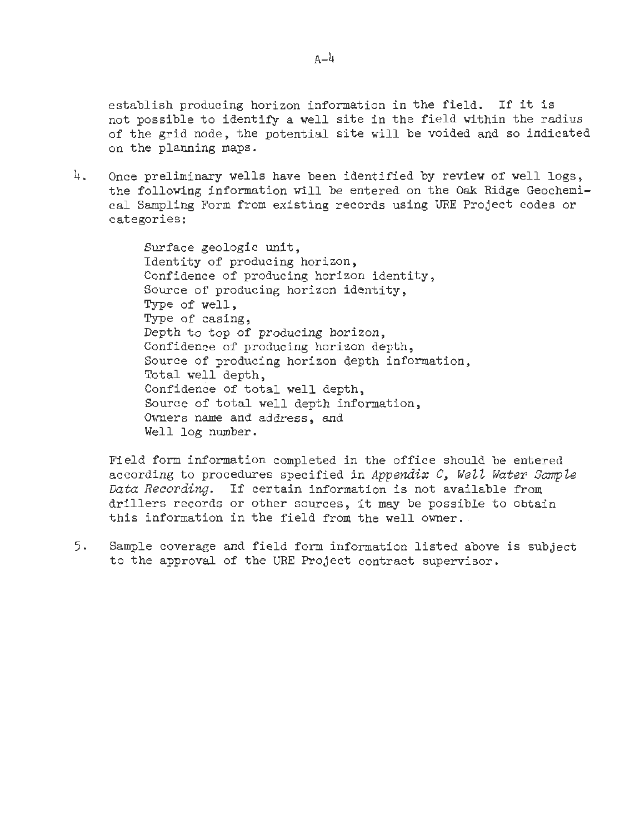establish producing horizon information in the field. If it is not possible to identify a well site in the field within the radius of the grid node, the potential site will be voided and so indicated on the planning maps.

4. Once preliminary wells have been identified by review of well logs, the following information will be entered on the **Oak** Ridge Geochemical Sampling Form from existing records using **URE** Project codes or categories:

> Surface geologic unit, Identity of producing horizon, Confidence of producing horizon identity, Source of producing horizon identity, Type of well, Type of casing, Depth to top of producing horizon, Confidence of producing horizon depth, Source of producing horizon depth information, Total well depth, Confidence of total well depth, Source of total well depth information, Owners name and address, and Well log number.

Field form information completed in the office should be entered according to procedures specified in Appendix C, *We22 Water SampZe Data Recording.* If certain information is not available from drillers records or other sources, it may be possible to obtain this information in the field from the well owner.

*5.* Sample coverage and field form information listed above is subject to the approval of the URE Project contract supervisor.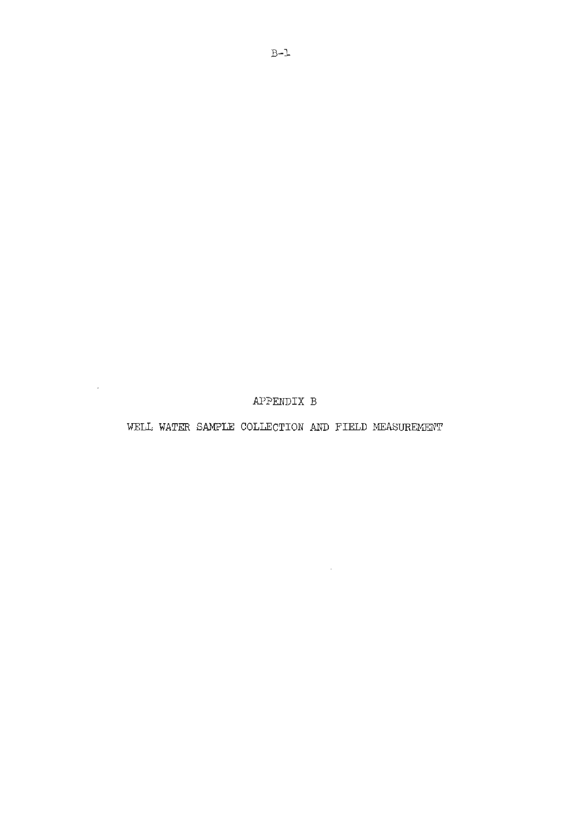APPENDIX B

 $\sim$ 

WELL WATER SAMPLE COLLECTION AND FIELD MEASUREMENT

 $\sim 10^{-11}$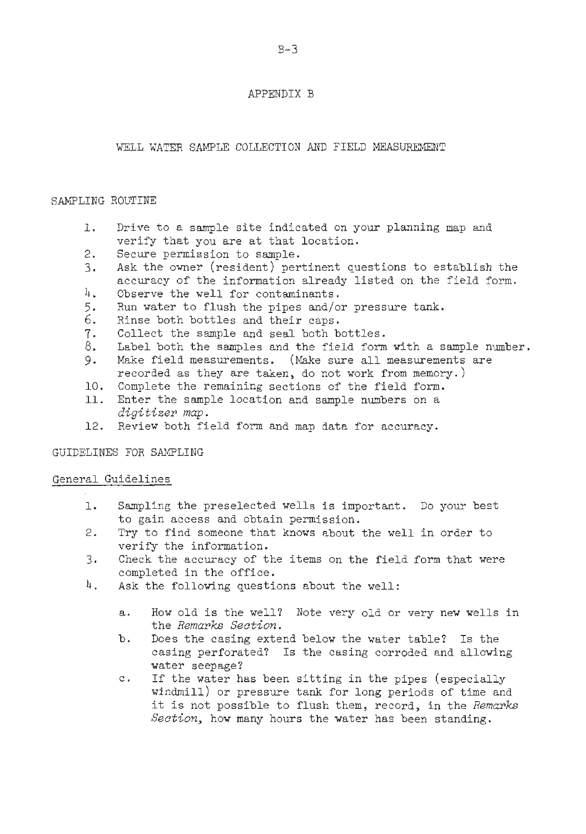#### APPENDIX B

#### WELL WATER SAMPLE COLLECTION AND **FIELD** MEASUREMENT

#### SAMPLING ROUTINE

- $\mathbf{1}$ . Drive to a sample site indicated on your planning map and verify that you are at that location.
- $2.$ Secure permission to sample.
- Ask the owner (resident) pertinent questions to establish the 3. accuracy of the information already listed on the field form.
- $\frac{1}{4}$ . Observe the well for contaminants.
- 5. Run water to flush the pipes and/or pressure **tank.**
- 6. Rinse both bottles and their caps.
- Collect the sample and seal both bottles. 7.
- 8. Label both the samples and the field form with a sample number.
- Make field measurements. (Make sure all measurements are 9. recorded as they are taken, do not work from memory.)
- 10. Complete the remaining sections of the field form.
- Enter the sample location and sample numbers on a *digitizer map.*
- 12. Review both field form and map data for accuracy.

#### GUIDELINES FOR SAMPLING

#### General Guidelines

- 1. Sampling the preselected wells is important. Do your best to gain access and obtain permission.
- 2. Try to find someone that knows about the well in order to verify the information.
- 3. Check the accuracy of the items on the field form that were completed in the office.
- 4. Ask the following questions about the well:
	- a. How old is the well? Note very old or very new wells in the *Remarks Section.*
	- b. Does the casing extend below the water table? Is the casing perforated? Is the casing corroded and allowing water seepage?
	- c. If the water has been sitting in the pipes (especially windmill) or pressure tank for long periods of time and it is not possible to flush them, record, in the *Remarks Section,* how many hours the water has been standing.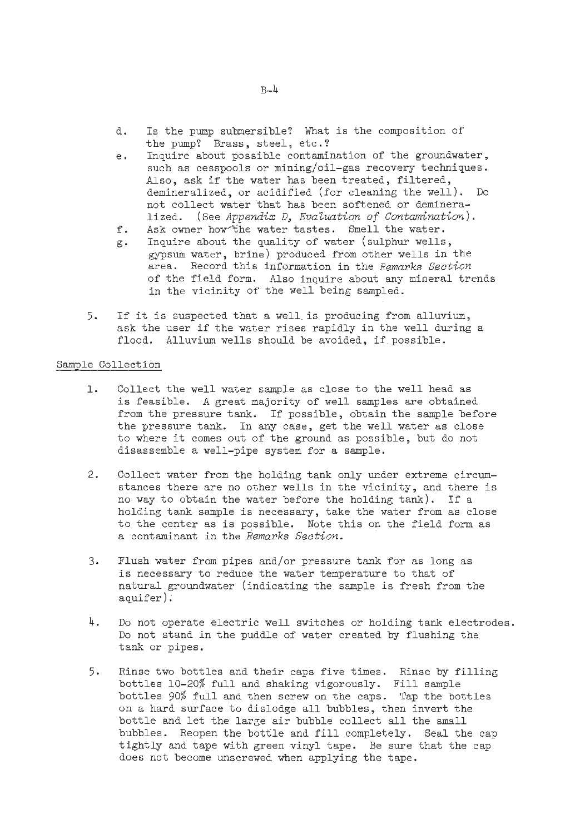- d. Is the pump submersible? What is the composition of the pump? Brass, steel, etc.?
- e. Inquire about possible contamination of the groundwater, such as cesspools or mining/oil-gas recovery techniques. Also, ask if the water has been treated, filtered, demineralized, or acidified (for cleaning the well). Do not collect water that has been softened or demineralized. (see *Appendix* D, *EvaZuation of Contamination).*
- f. Ask owner how the water tastes. Smell the water.
- g. Inquire about the quality of water (sulphur wells, gypsum water, brine) produced from other wells in the area. Record this information in the *Remarks Section*  of the field form. Also inquire about any mineral trends in the vicinity of the well being sampled.
- 5. If it is suspected that a well is producing from alluvium, ask the user if the water rises rapidly in the well during a flood. Alluvium wells should be avoided, if possible.

#### Sample Collection

- 1. Collect the well water sample as close to the well head as is feasible. A great majority of well samples are obtained from the pressure tank. If possible, obtain the sample before the pressure tank. In any case, get the well water as close to where it comes out of the ground as possible, but do not disassemble a well-pipe system for a sample.
- 2. Collect water from the holding tank only under extreme circumstances there are no other wells in the vicinity, and there is no way to obtain the water before the holding tank). If a holding tank sample is necessary, take the water from as close to the center as is possible. Note this on the field form as a contaminant in the *Remarks Section.*
- *3.* Flush water from pipes and/or pressure tank for as long as is necessary to reduce the water temperature to that of natural groundwater (indicating the sample is fresh from the aquifer).
- 4. Do not operate electric well switches or holding tank electrodes. Do not stand in the puddle of water created by flushing the tank or pipes.
- 5. Rinse two bottles and their caps five times. Rinse by filling bottles 10-20% full and shaking vigorously. Fill sample bottles 90% full and then screw on the caps. Tap the bottles on a hard surface to dislodge all bubbles, then invert the bottle and let the large air bubble collect all the small bubbles. Reopen the bottle and fill completely. Seal the cap tightly and tape with green vinyl tape. Be sure that the cap does not become unscrewed when applying the tape.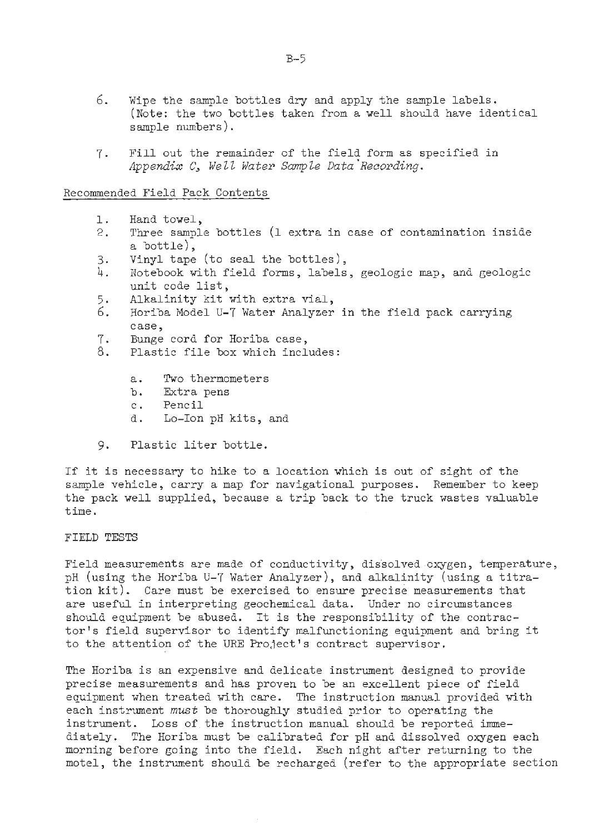- *6.* Wipe the sample bottles dry and apply the sample labels. (Note: the two bottles taken from a well should have identical sample numbers ) .
- 7. Fill out the remainder of the field form as specified in *Appendix* C, *Well Water Sample Data'~ecording.*

#### Recommended Field Pack Contents

- $\mathbf{1}$ . Hand towel,
- $2.$ Three sample bottles (1 extra in case of contamination inside a bottle),
- $3.$ Vinyl tape (to seal the bottles),
- 4. Notebook with field forms, labels, geologic map, and geologic unit code list,
- $5.$ Alkalinity kit with extra vial,
- 6. Horiba Model U-7 Water Analyzer in the field pack carrying case,
- 7. Bunge cord for Horiba case,
- 8. Plastic file box which includes:
	- a. Two thermometers
	- b. Extra pens
	- c. Pencil
	- d. Lo-Ion pH kits, and
- Plastic liter bottle. 9.

If it is necessary to hike to **a** location which is out of sight of the sample vehicle, carry a map for navigational purposes. Remember to keep the pack well supplied, because a trip back to the truck wastes valuable time.

#### FIELD TESTS

Field measurements are made of conductivity, dissolved oxygen, temperature, pH (using the Horiba U-7 Water Analyzer), and alkalinity (using a titration kit). Care must be exercised to ensure precise measurements that are useful in interpreting geochemical data. Under no circumstances should equipment be abused. It is the responsibility of the contractor's field supervisor to identify malfunctioning equipment and bring it to the attention of the URE Project's contract supervisor.

The Horiba is an expensive and delicate instrument designed to provide precise measurements and has proven to be an excellent piece of field equipment when treated with care. The instruction manual provided with each instrument *must* be thoroughly studied prior to operating the instrument. Loss of the instruction manual should be reported immediately. The Horiba must be calibrated for pH and dissolved oyygen each morning before going into the field. Each night after returning to the motel, the instrument should be recharged (refer to the appropriate section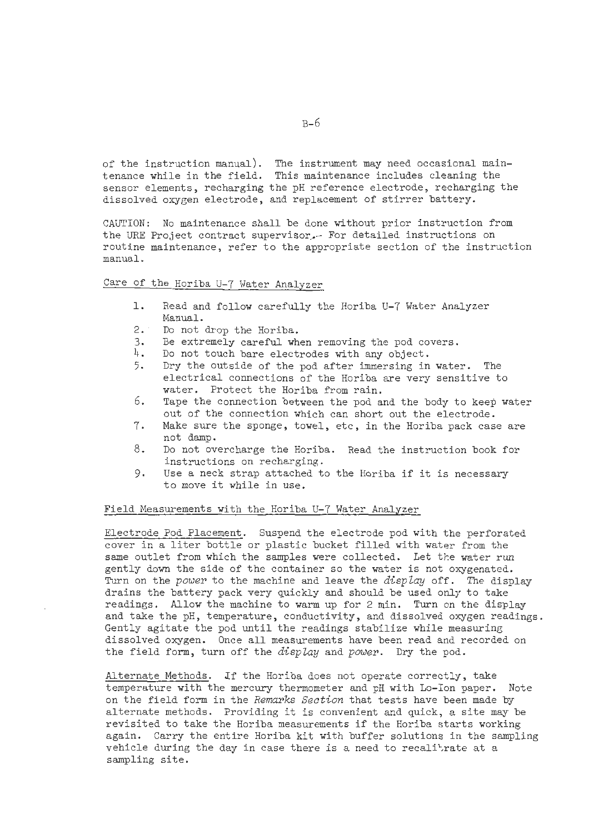of the instruction manual). The instrument may need occasional maintenance while in the field. This maintenance includes cleaning the sensor elements, recharging the pH reference electrode, recharging the dissolved oxygen electrode, and replacement of stirrer battery.

CAUTION: No maintenance shall be done without prior instruction from the URE Project contract supervisor, For detailed instructions on routine maintenance, refer to the appropriate section of the instruction manual.

# Care of the Horiba U-7 Water Analyzer

- Read and follow carefully the Horiba U-7 Water Analyzer l. Manual.
- $2.$ Do not drop the Horiba.
- Be extremely careful when removing the pod covers. 3.
- 4. Do not touch bare electrodes with any object.
- Dry the outside of the pod after immersing in water. The 5. electrical connections of the Horiba are very sensitive to water. Protect the Horiba from rain.
- 6. Tape the connection between the pod and the body to keep water out of the connection which can short out the electrode.
- Make sure the sponge, towel, etc, in the Horiba pack case are 7. not damp.
- 8. Do not overcharge the Horiba. Read the instruction book for instructions on recharging.
- 9. Use a neck strap attached to the Horiba if it is necessary to move it while in use.

#### Field Measurements with the Horiba U-7 Water Analyzer

Electrode Pod Placement. Suspend the electrode pod with the perforated cover in a liter bottle or plastic bucket filled with water from the same outlet from which the samples were collected. Let the water run gently down the side of the container so the water is not oxygenated. Turn on the *power* to the machine and leave the *display* off. The display drains the battery pack very quickly and should be used only to take readings. Allow the machine to warm up for 2 min. Turn on the display and take the pH, temperature, conductivity, and dissolved oxygen readings. Gently agitate the pod until the readings stabilize while measuring dissolved oxygen. Once all measurements have been read and recorded on the field form, turn off the *display* and *power.* Dry the pod.

Alternate Methods. Lf the Horiba does not operate correctly, take temperature with the mercury thermometer and pH with Lo-Ion paper. Note on the field form in the *Remarks Section* that tests have been made by alternate methods. Providing it is convenient and quick, a site may be revisited to take the Horiba measurements if the Horiba starts working again. Carry the entire Horiba kit with buffer solutions in the sampling vehicle during the day in case there is a need to recalitrate at a sampling site.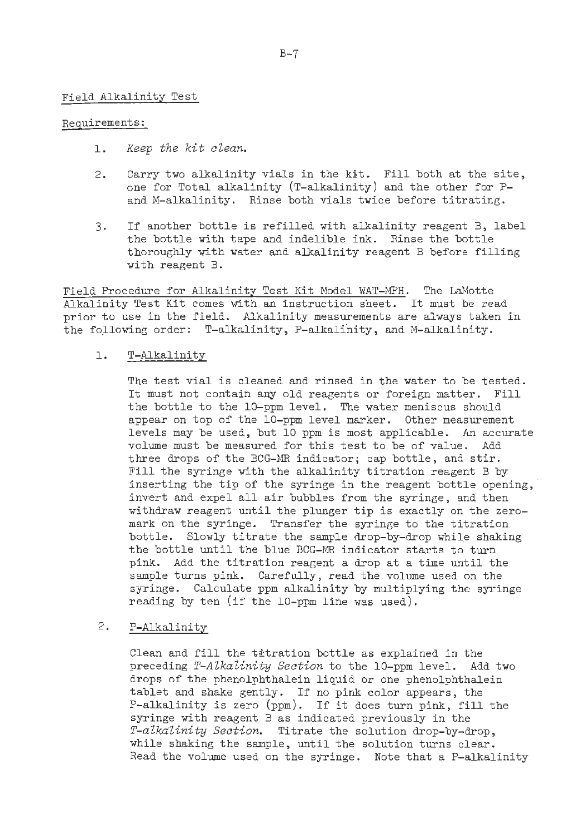#### Field Alkalinity Test

#### Requirements :

- 1. *Keep the kit clean.*
- 2. Carry two alkalinity vials in the fit. Fill both at the site, one for Total alkalinity (T-alkalinity) and the other for Pand M-alkalinity. Rinse both vials twice before titrating.
- **3.** If another bottle is refilled with alkalinity reagent B, label the bottle with tape and indelible ink. Rinse the bottle thoroughly with water and alkalinity reagent B before filling with reagent B.

Field Procedure for Alkalinity Test Kit Model WAT-MPR. The LaMotte Alkalinity Test Kit comes with an instruction sheet. It must be read prior to use in the field. Alkalinity measurements are always taken in the following order: T-alkalinity, P-alkalinity, and M-alkalinity.

#### T-Alkalinity  $\mathbf{1}$ .

The test vial is cleaned and rinsed in the water to be tested. It must not contain any old reagents or foreign matter. Fill the bottle to the 10-ppm level. The water meniscus should appear on top of the 10-ppm level marker. Other measurement levels may be used, but 10 ppm is most applicable. An accurate volume must be measured for this test to be of value. Add three drops of the BCG-MR indicator; cap bottle, and stir. Fill the syringe with the alkalinity titration reagent B by inserting the tip of the syringe in the reagent bottle opening, invert and expel all air bubbles from the syringe, and then withdraw reagent until the plunger tip is exactly on the zeromark on the syringe. Transfer the syringe to the titration bottle. Slowly titrate the sample drop-by-drop while shaking the bottle until the blue BCG-MR indicator starts to turn pink. Add the titration reagent a drop at a time until the sample turns pink. Carefully, read the volume used on the syringe. Calculate ppm alkalinity by multiplying the syringe reading by ten (if the 10-ppm line was used).

#### $2.$ P-Alkalinity

Clean and fill the titration bottle as explained in the preceding *T-AZkaZinity Section* to the 10-ppm level. Add two drops of the phenolphthalein liquid or one phenolphthalein tablet and shake gently. If no pink color appears, the P-alkalinity is zero (ppm). If it does turn pink, fill the syringe with reagent B as indicated previously in the *T-alkalinity Section.* Titrate the solution drop-by-drop, while shaking the sample, until the solution turns clear. Read the volume used on the syringe. Note that a P-alkalinity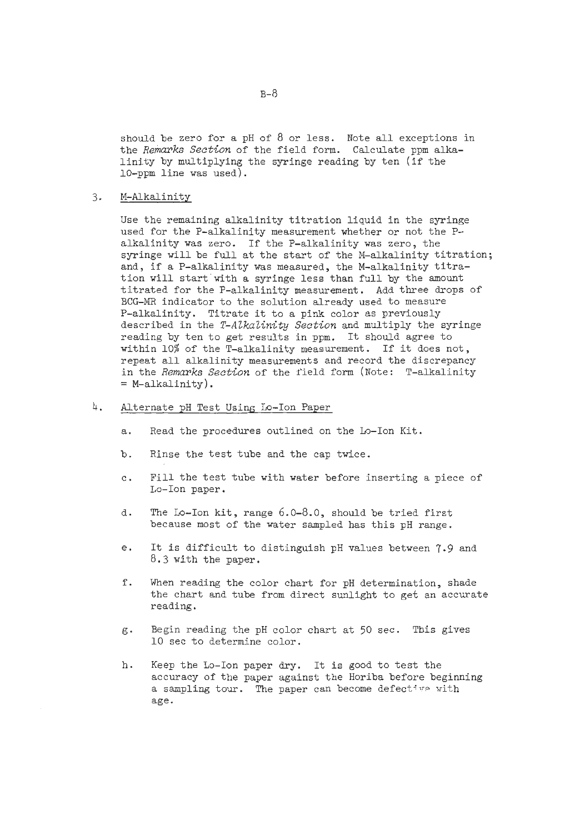should be zero for a pH of 8 or less. Note all exceptions in the *Remarks Section* of the field form. Calculate ppm alkalinity by multiplying the syringe reading by ten (if the 10-ppm line was used).

 $3.$ M-Alkalinity

> Use the remaining alkalinity titration liquid in the syringe used for the P-alkalinity measurement whether or not the Palkalinity was zero. If the P-alkalinity was zero, the syringe will be full at the start of the M-alkalinity titration; and, if a P-alkalinity was measured, the M-alkalinity titration will start with a syringe less than full by the amount titrated for the P-alkalinity measurement. Add three drops of BCG-MR indicator to the solution already used to measure P-alkalinity. Titrate it to a pink color as previously described in the *T-AZkaZinity Section* and multiply the syringe reading by ten to get results in ppm. It should agree to within 10% of the T-alkalinity measurement. If it does not, repeat all alkalinity measurements and record the discrepancy in the *Remarks Section* of the field form (Note: T-alkalinity  $=$  M-alkalinity).

- 4. Alternate pH Test Using Lo-Ion Paper
	- a. Read the procedures outlined on the Lo-Ion Kit.
	- b. Rinse the test tube and the cap twice.
	- c. Fill the test tube with water before inserting a piece of Lo-Ion paper.
	- d. The Lo-Ion kit, range 6.0-8.0, should be tried first because most of the water sampled has this pH range.
	- e. It is difficult to distinguish pH values between 7.9 **and**  8.3 with the paper.
	- f. When reading the color chart for pH determination, shade the chart and tube from direct sunlight to get an accurate reading.
	- g. Begin reading the pH color chart at 50 sec. This gives 10 sec to determine color.
	- h. Keep the Lo-Ion paper dry. It is good to test the accuracy of the paper against the Horiba before beginning a sampling tour. The paper can become defective with age.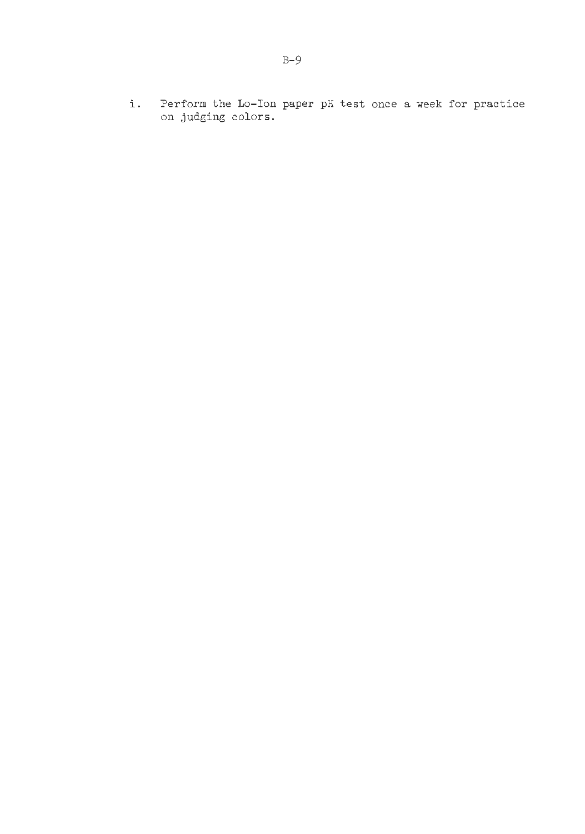i. Perform the Lo-Ion paper pH test once a week for practice on judging colors.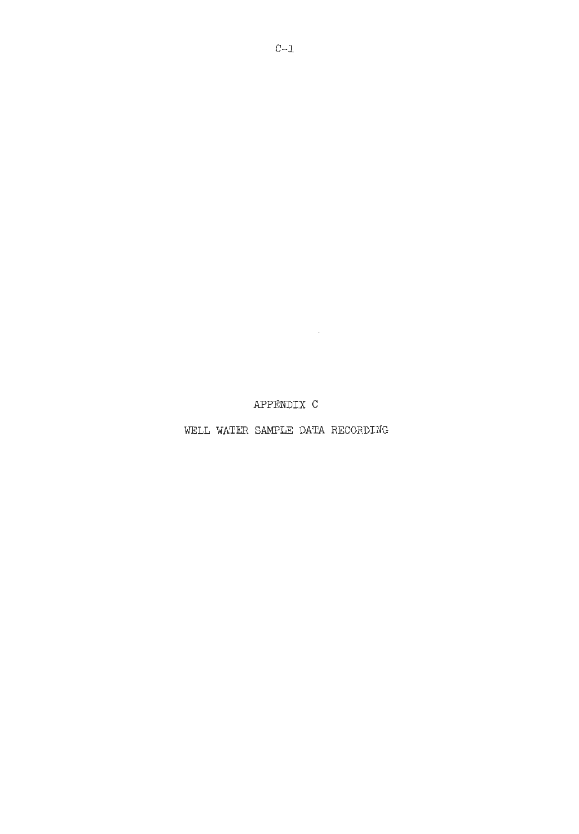APPENDIX C

WELL WATER **SAMPLE** DATA RECORDING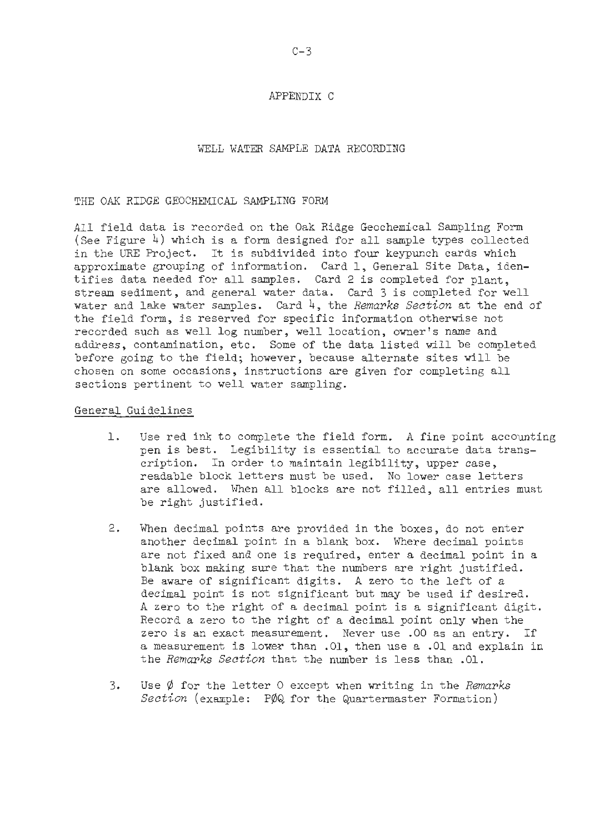#### APPENDIX C

#### WELL WATER SAMPLE DATA RECORDING

#### THE OAK RIDGE GEOCHEMICAL SAMPLING FORM

All field data is recorded on the Oak Ridge Geochemical Sampling Form (See Figure  $4$ ) which is a form designed for all sample types collected in the URE Project. It is subdivided into four keypunch cards which approximate grouping of information. Card 1, General Site Data, identifies data needed for all samples. Card 2 is completed for plant, stream sediment, and general water data. Card 3 is completed for well water and lake water samples. Card 4, the *Remarks Section* at the end of the field form, is reserved for specific information otherwise not recorded such as well log number, well location, owner's name and address, contamination, etc. Some of the data listed will be completed before going to the field; however, because alternate sites will be chosen on some occasions, instructions are given for completing all sections pertinent to well water sampling.

#### General Guidelines

- 1. Use red ink to complete the field form. A fine point accounting pen is best. Legibility is essential to accurate data transcription. In order to maintain legibility, upper case, readable block letters must be used. No lower case letters are allowed. When all blocks are not filled, all entries must be right justified.
- 2. When decimal points are provided in the boxes, do not enter another decimal point in a blank box. Where decimal points are not fixed and one is required, enter a decimal point in a blank box making sure that the numbers are right justified. Be aware of significant digits. **A** zero to the left of a decimal point is not significant but may be used if desired. A zero to the right of a decimal point is a significant digit. Record a zero to the right of a decimal point only when the zero is an exact measurement. Never use .00 as an entry. If a measurement is lower than .01, then use a .O1 and explain in the *Remarks Section* that the number is less than .01.
- 3. Use 0 for the letter 0 except when writing in the *Remarks Section* (example: POQ for the Quartermaster Formation)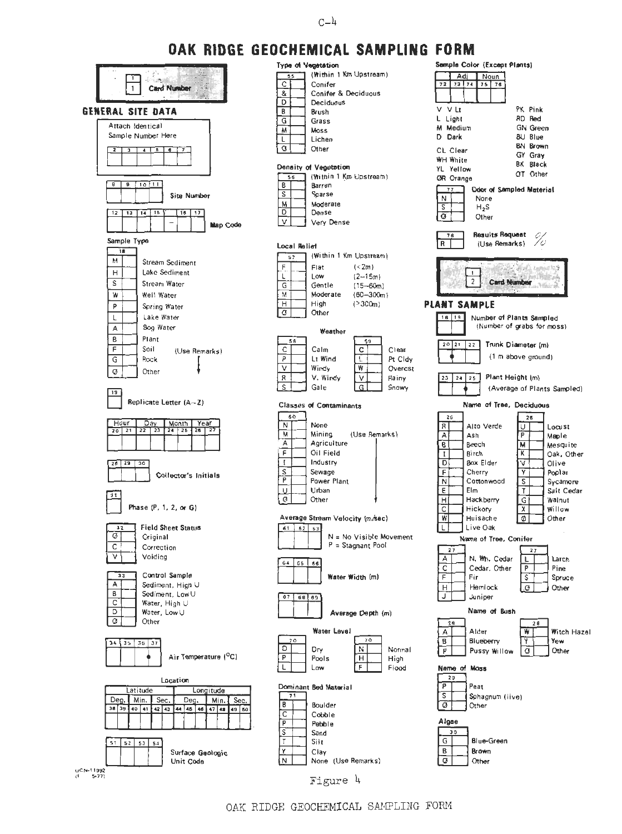#### $C-\mu$

# **OAK RIDGE GEOCHEMICAL SAMPLING FORM**



| .<br>יו ריש<br>м                 | . <del>.</del>                                      |
|----------------------------------|-----------------------------------------------------|
| getation                         | Sample Color (Except Plants)                        |
| Within 1 Km Upstream)            | Adi<br>Noun                                         |
| Conifer                          | 72<br>73 74<br>75<br>76                             |
| Co <b>nifer &amp; Dec</b> iduous |                                                     |
| Deciduous                        |                                                     |
| 3 rush                           | V V Lt<br>PK Pink<br>RD Red                         |
| Grass                            | L Light                                             |
| Moss                             | M Medium<br><b>GN</b> Green                         |
| Lichen                           | <b>BU Blue</b><br>D Dark                            |
| Other                            | <b>BN Brown</b><br>CL Clear                         |
|                                  | GY Gray<br><b>WH White</b>                          |
| Vegetation                       | <b>BK Black</b><br>YL Yellow                        |
| Within 1 Km Upstream)            | OT Other<br><b>OR Crange</b>                        |
| Barren                           | <b>Odor of Sampled Material</b><br>77               |
| Sparse                           | None<br>Ν                                           |
| Moderate                         | S<br>$H_{2}S$                                       |
| Dense                            | ø<br>Other                                          |
| Very Dense                       |                                                     |
|                                  | Results Request<br>76                               |
| ۲f                               | R<br>(Use Remarks)                                  |
| (Within 1 Km Upstream)           |                                                     |
|                                  |                                                     |
| (< 2m)<br>Flat                   | 1                                                   |
| Low<br>$(2-15m)$                 | 2<br><b>Card Number</b>                             |
| Gentle<br>$(15 - 60m)$           |                                                     |
| Moderate<br>$(60 - 300m)$        |                                                     |
| High<br>( > 300m)                | <b>PLANT SAMPLE</b>                                 |
| Other                            | 18   19<br>Number of Plants Sampled                 |
|                                  | (Number of grabs for moss)                          |
| Weather                          |                                                     |
| 59                               | 22<br>20 21<br>Trunk Diameter (m)                   |
| Calm<br>Clear<br>c               |                                                     |
| Lt Wind<br>L<br>Pt Cldy          | (1 m above ground)                                  |
| ₩<br>Windy<br>Overcst            |                                                     |
| V. Windy<br>٧<br>Rainy           | Plant Height (m)<br>24<br>25<br>23                  |
| G<br>Gale<br>Snowy               | (Average of Plants Sampled)                         |
|                                  |                                                     |
| f Contaminants                   | Name of Tree, Deciduous                             |
|                                  | 26<br>26                                            |
| None                             | R<br>Alto Verde<br>U<br>Locust                      |
| (Use Remarks)<br>Mining          | А<br>P<br>Ash<br>Maple                              |
| Agriculture                      | В<br>Beech<br>M<br>Mesquite                         |
| Oil Field                        | κ<br>Birch<br>I<br>Oak, Other                       |
| Industry                         | v<br>D<br>Box Elder<br>Olive                        |
| Sewage                           | F<br>٧<br>Cherry<br>Poplar                          |
| Power Plant                      | Ν<br>Cottonwood<br>s<br>Sycamore                    |
| Urban                            | Ε<br>Elm<br>Т<br>Salt Cedar                         |
| Other                            | н<br>G<br>Hackberry<br>Walnut                       |
|                                  | C<br>Х<br>Willow<br>Hickory                         |
| itream Velocity (m ⁄sec)         | W<br>Ø<br>Huisache<br>Other                         |
| 63                               | L<br>Live Oak                                       |
| N = No Visible Movement          |                                                     |
| P = Stagnant Pool                | Name of Tree, Conifer                               |
|                                  | 27<br>27                                            |
| 56                               | N. Wh. Cedar<br>А<br>L<br>Larch                     |
|                                  | C<br>Cedar, Other<br>P<br>Pine                      |
| Water Width (m)                  | F<br>Fir<br>S<br>Spruce                             |
|                                  | н<br>Hemlock<br>.G<br>Other                         |
| θ9                               | J<br>Juniper                                        |
|                                  | Name of Bush                                        |
| Average Depth (m)                |                                                     |
| Water Level                      | 28<br>28<br>Alder                                   |
| 70                               | ₩<br>Witch Hazel<br>А<br>B<br>Blueberry<br>Y<br>Yew |
| Dry<br>N<br>Normal               |                                                     |
|                                  | P<br>Pussy Willow<br>σ<br>Other                     |
| Pools<br>н<br>High<br>Low        |                                                     |
| F<br>Flood                       | Neme of Moss                                        |
|                                  | 29                                                  |
| <b>Bed Material</b>              | ρ<br>Peat                                           |
|                                  | s<br>Sphagnum (live)                                |
| Boulder                          | Ø<br>Other                                          |
| Cobble                           |                                                     |
| Pebble                           | Algae                                               |
| Sand                             | JО                                                  |
| Silt                             | Blue-Green<br>G                                     |
| Clay                             | Brown<br>в                                          |
| None (Use Remarks)               | σ<br>Other                                          |
|                                  |                                                     |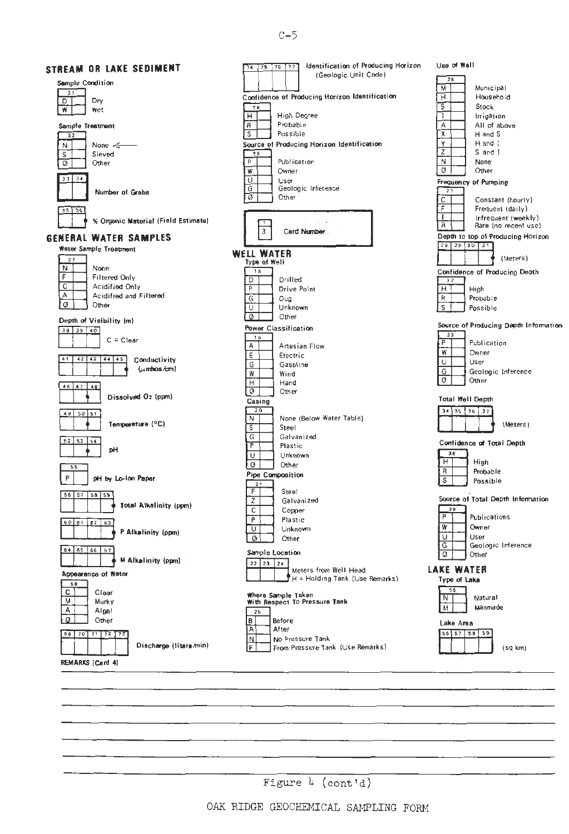$C-5$ 

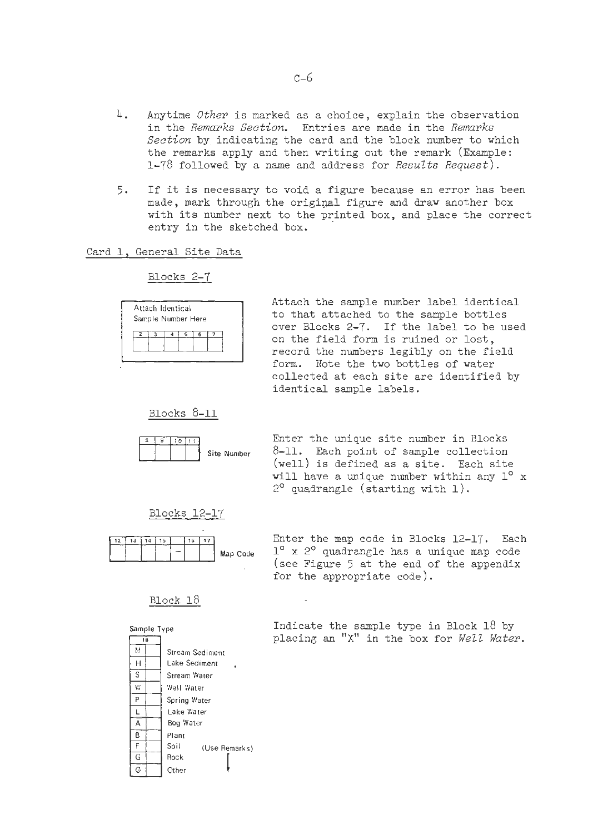- 4. Anytime Other is marked as a choice, explain the observation in the Remarks Section. Entries are made in the Remarks Section by indicating the card and the block number to which the remarks apply and then writing out the remark (Example: 1-78 followed by a name and address for Results Request).
- 5. If it is necessary to void a figure because an error has been made, mark through the original figure and draw another box with its number next to the printed box, and place the correct entry in the sketched box.

#### Card 1, General Site Data

Blocks 2-7



Attach the sample number label identical to that attached to the sample bottles over Blocks 2-7. If the label to be used Amytime *Other* is marked as a choice, explain the observation<br>
in the *Femariks Section*. Entries are made in the *Femariks*<br>
Section by indicating the card and the block number to which<br>
the remarks apply and then writi form. Note the two bottles of water collected at each site are identified by identical sample labels.

Blocks 8-11



Enter the unique site number in Blocks  $s$ ite Number  $8-11$ . Each point of sample collection (well) is defined as a site. Each site will have a unique number within any  $1^{\circ}$  x  $2^{\circ}$  quadrangle (starting with 1).

Blocks 12-17



Enter the map code in Blocks 12-17. Each  $M_{ap}$  Code  $1^{\circ}$  x 2<sup>o</sup> quadrangle has a unique map code (see Figure 5 at the end of the appendix for the appropriate code).

#### Block 18



Sample Type **19 COV Indicate the sample type in Block 18 by** placing an "X" in the box for Well Water.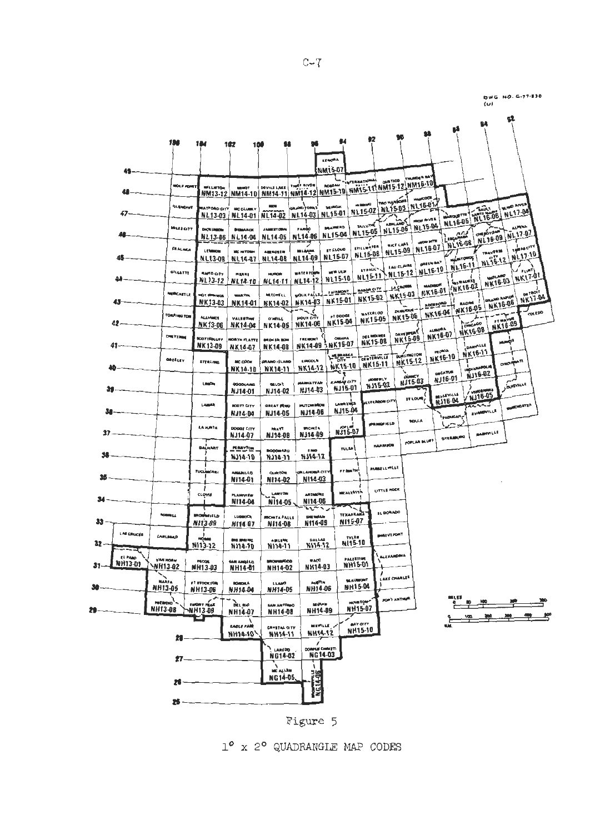



Figure 5

1° x 2° QUADRANGLE MAP CODES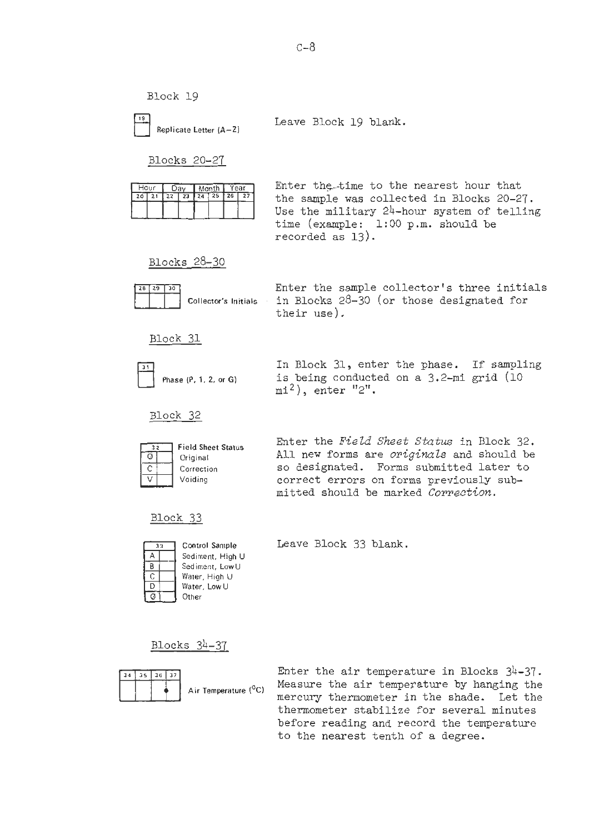

Leave Block 19 blank.

Blocks 20-27

| Hour |  | Dav |  |                          |  | Month | Year |  |
|------|--|-----|--|--------------------------|--|-------|------|--|
| 20   |  | 22  |  | $23$ $24$ $25$ $26$ $27$ |  |       |      |  |
|      |  |     |  |                          |  |       |      |  |
|      |  |     |  |                          |  |       |      |  |

Enter the-time to the nearest hour that the sample was collected in Blocks 20-27. Use the military  $24$ -hour system of telling time (example: 1:00 p.m. should be recorded as 13).

Blocks 28-30



Enter the sample collector's three initials Collector's Initials in Blocks  $28-30$  (or those designated for their use).

Block 31



Block 32



In Block 31, enter the phase. If sampling is being conducted on a 3.2-mi grid (10  $m1<sup>2</sup>$ , enter "2".

Enter the **Field Sheet** Status in Block 32. All new forms are *originals* and should be so designated. Forms submitted later to correct errors on forms previously submitted should be marked **Correction.** 

Block 33

| 3 <sub>3</sub> |  | Control Sample   |
|----------------|--|------------------|
|                |  | Sediment, High U |
| В              |  | Sediment, Low U  |
| C              |  | Water, High U    |
| D              |  | Water, Low U     |
| Ø              |  | Other            |

Leave Block 33 blank.

Blocks 34-37



Enter the air temperature in Blocks 34-37. Measure the air temperature by hanging the mercury thermometer in the shade. Let the thermometer stabilize for several minutes before reading and record the temperature to the nearest tenth of a degree.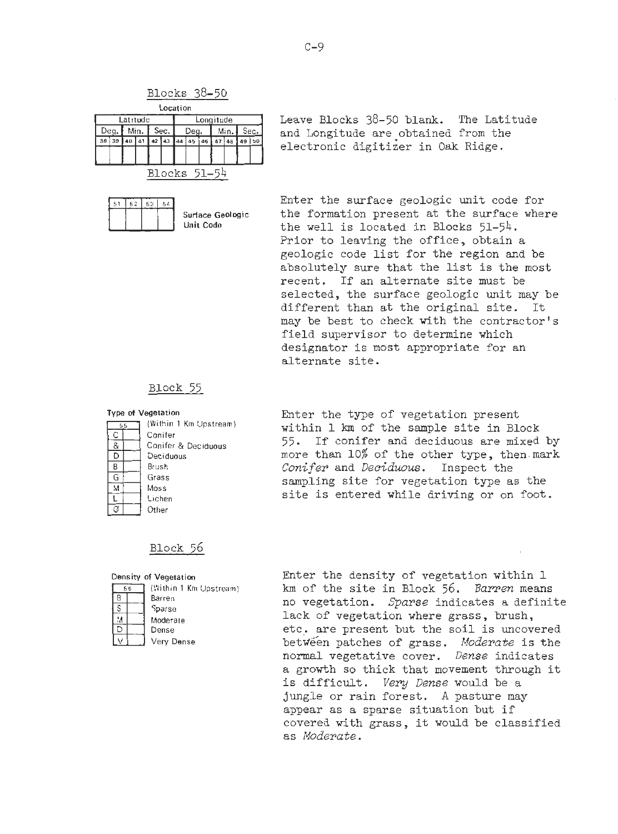

| I DAN'I MUP F AAN'I                                             |  |  |  |  |  |  |  |  | <b>Ded't I will't occ</b> |  |
|-----------------------------------------------------------------|--|--|--|--|--|--|--|--|---------------------------|--|
| $38 \ 39 \ 40 \ 41 \ 42 \ 43 \ 44 \ 45 \ 46 \ 47 \ 48 \ 49 \ 5$ |  |  |  |  |  |  |  |  |                           |  |
|                                                                 |  |  |  |  |  |  |  |  |                           |  |
|                                                                 |  |  |  |  |  |  |  |  |                           |  |
| Blocks 51-54                                                    |  |  |  |  |  |  |  |  |                           |  |

51 52  $53 \mid 54$ 

Leave Blocks 38-50 blank. The Latitude and Longitude are obtained from the electronic digitizer in Oak Ridge.

Enter the surface geologic unit code for Surface Geologic **the formation present at the surface where Unit Code** the well is located in Blocks 51-54. Prior to leaving the office, obtain a geologic code list for the region and be absolutely sure that the list is the most recent. If an alternate site must be selected, the surface geologic unit may be different than at the original site. It may be best to check with the contractor's field supervisor to determine which designator is most appropriate for an alternate site.

#### Block 55

#### C  $\&$ D B G Grass  $\mathcal{M}$ τ  $\sigma$ Other

**Type of Vegetation Enter the type of vegetation present (Within 1 Km Upstream) (Within 1 Km Upstream**) **(Within 1 Am of the semple site in Pl** (Within 1 Km Upstream) **within 1 km of the sample site in Block**<br>Conifer Contrer<br>Conifer & Deciduous 55. If conifer and deciduous are mixed by Deciduous more than 10% of the other type, then.mark Brush *Conifer* and *Deciduous.* Inspect the Grass sampling site for vegetation type as the woss<br>Lichen site is entered while driving or on foot.

#### Block 56

| 56 | (Within 1 Km Upstream) |  |  |  |
|----|------------------------|--|--|--|
| R  | Barren                 |  |  |  |
|    | Sparse                 |  |  |  |
| м  | Moderate               |  |  |  |
|    | Dense                  |  |  |  |
|    |                        |  |  |  |

**)enslty of Vegetatlm** Enter the density of vegetation within 1 km of the site in Block 56. *Barren* means no vegetation. *Sparse* indicates a definite lack of vegetation where grass, brush, etc. are present but the soil is uncovered Very Dense betrje"en patches of grass. *Moderate* is the normal vegetative cover. *Dense* indicates a growth so thick that movement through it is difficult. *Very Dense* would be a jungle or rain forest. A pasture may appear as a sparse situation but if covered with grass, it would be classified as *Moderate.*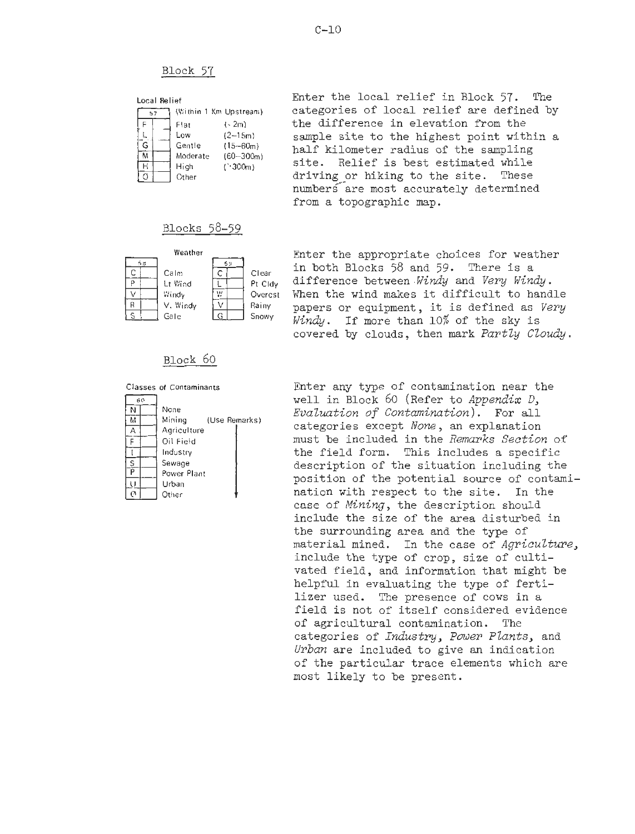|    | Local Relief |  |          |                        |  |  |  |
|----|--------------|--|----------|------------------------|--|--|--|
| 57 |              |  |          | (Within 1 Km Upstream) |  |  |  |
|    |              |  | Flat     | l - 2m)                |  |  |  |
|    |              |  | Low      | $(2 - 15m)$            |  |  |  |
|    | G            |  | Gentle   | $(15 - 60m)$           |  |  |  |
|    |              |  | Moderate | $(60 - 300m)$          |  |  |  |
|    |              |  | High     | ('300m)                |  |  |  |
|    |              |  |          |                        |  |  |  |

**Local Rehef** Enter the local relief in Block 57. The **(Wlthln 1 Km Upstream)** categories of local relief are defined **by I.2m)** the difference in elevation from the sample site to the highest point within a half kilometer radius of the sampling site. Relief is best estimated while **Other** driving or hiking to the site. These numbers are most accurately determined from a topographic map.

#### Blocks 58-59



### Block 60

Classes **of Contaminants**   $\overline{50}$  $\overline{N}$ **None**   $\overline{\mathcal{M}}$ **Mining (Use**  (Use Remarks)  $\overline{\mathsf{A}}$ **Agriculture**  Ē **Oil Field**  T **Industry**   $\frac{S}{P}$ **Sewage Power Plant**   $\overline{U}$ **Urban**   $\overline{c}$ **Mher 1** 

Weather **Enter** the appropriate choices for weather in both Blocks 58 and 59. There is a Colm Collear and both blocks yound ye. There is a<br> **at Wind Liference between** *Windy* and *Very Windy*.<br>
Windy Windy Overcst When the wind makes it difficult to hand Windy **We Overcst When the wind makes it difficult to handle**<br>V. Windy V. Rainy papers or equipment it is defined as *Veru* V. Windy V Rainy papers or equipment, it is defined as *Very* Gale **Gale Snowy** *Windy.* If more than 10% of the sky is covered by clouds, then mark *PartZy CZoudy.* 

> Enter any type of contamination near the well in Block 60 (Refer to *Appendix D*, *EvaZuation* of *Contamination).* For all categories except *None, an* explanation must be included in the *Remarks Section* of the field form. This includes a specific description of the situation including the position of the potential source of contamination with respect to the site. In the case of *Mining,* the description should include the size of the area disturbed in the surrounding area and the type of material mined. In the case of *Agriculture*. include the type of crop, size of cultivated field, and information that might be helpful in evaluating the type of fertilizer used. The presence of cows in a field is not of itself considered evidence of agricultural contamination. The categories of *Industry, Power Plants,* and *Urban* are included to give an indication of the particular trace elements which are most likely to be present.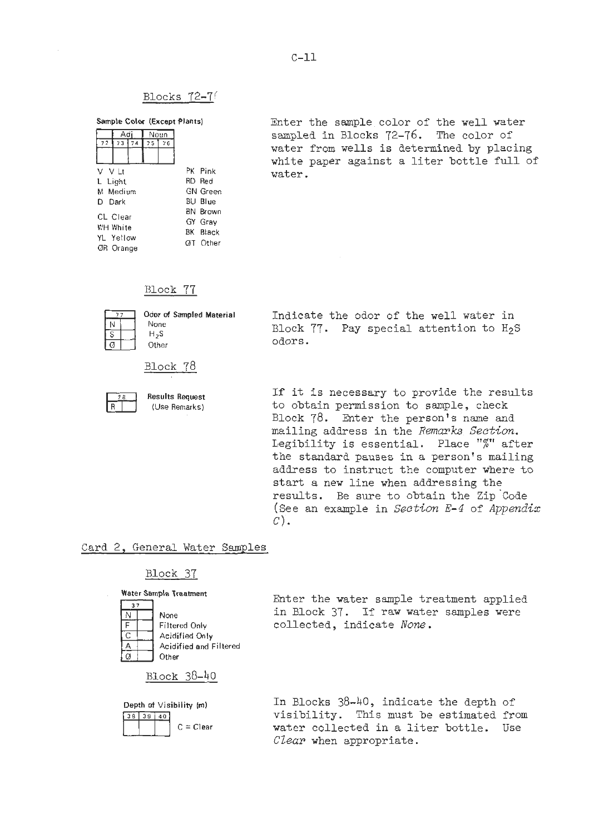#### Blocks 72-76

Sample Color (Except Plants)

|           |           | Adi |         | Noun            |  |                 |
|-----------|-----------|-----|---------|-----------------|--|-----------------|
| 72        | 73 74     |     | 75      | 76              |  |                 |
|           |           |     |         |                 |  |                 |
| V V It    |           |     |         | PK Pink         |  |                 |
| L Light   |           |     | RD Red  |                 |  |                 |
| M Medium  |           |     |         |                 |  | <b>GN</b> Green |
| D. Dark   |           |     |         |                 |  | <b>BU Blue</b>  |
| CL Clear  |           |     |         |                 |  | <b>BN Brown</b> |
|           |           |     | GY Grav |                 |  |                 |
| WH White  |           |     |         | <b>BK</b> Black |  |                 |
| YL Yellow | ØR Orange |     |         | <b>GT</b> Other |  |                 |

Enter the sample color of the well water sampled in Blocks 72-76. The color of water from wells is determined by placing white paper against a liter bottle full of water.

#### Block 77



| None<br>H <sub>2</sub> S | Block  |
|--------------------------|--------|
| Other                    | odors. |



*OEyof* **smpled Material** Indicate the odor of the well water in Block  $77.$  Pay special attention to  $H_2S$ 

Results Request **If it is necessary to provide the results (Use Remarks)** to obtain permission to sample, check Block 78. Enter the person's name and mailing address in the *Remarks Section.*  Legibility is essential. Place "%" after the standard pauses in a person's mailing address to instruct the computer where to start a new line when addressing the results. Be sure to obtain the Zip 'Code (See an example in *Section* E-4 of *Appendix*   $C$ ).

#### Card 2, General Water Samples

#### Block 37



**Water Sample Traatment**<br> **Enter the water sample treatment applied** in Block 37. If raw water samples were Filtered Only **collected**, indicate *None*.

Block 38-40

 $3833140$ 

**Depth of Visibility (m)** In Blocks 38-40, indicate the depth of visibility. This must be estimated from c <sup>=</sup>**Clear** water collected in a liter bottle. Use Clear when appropriate.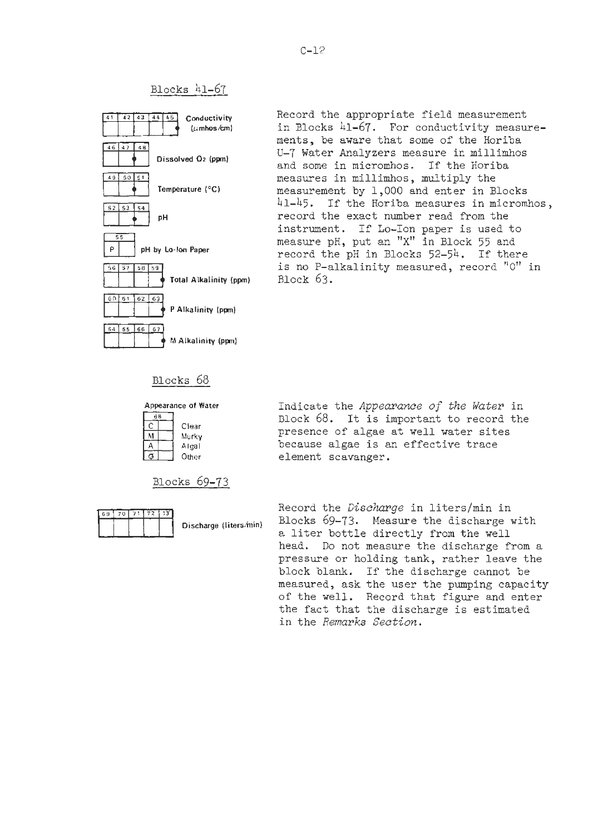Blocks 41-67



Record the appropriate field measurement in Blocks 41-67. For conductivity measurements, be aware that some of the Horiba **U-7** Water Analyzers measure in millimhos and some in micromhos. If the Horiba measures in millimhos, multiply the measurement by 1,000 and enter in Blocks 41-45. If the Horiba measures in micromhos, record the exact number read from the instrument. If Lo-Ion paper is used to measure pH, put an **"X"** in Block 55 and record the pH in Blocks 52-54. If there is no P-alkalinity measured, record "0" in Block 63.

#### Blocks 68

| B |       |
|---|-------|
|   | Clear |
|   | Murky |
|   | Algal |
|   | Other |
|   |       |

Blocks 69-73



**Appearance of Water** Indicate the *Appearance of the Water* in Block 68. It is important to record the presence of algae at well water sites **Algal** because algae is an effective trace element scavanger.

Record the *Discharge* in literslmin in **Discharge (litershin)** Blocks 69-73. Measure the discharge with a liter bottle directly from the well head. Do not measure the discharge from a pressure or holding tank, rather leave the block biank. If the discharge cannot be measured, ask the user the pumping capacity of the well. Record that figure and enter the fact that the discharge is estimated in the *Remarks Section.*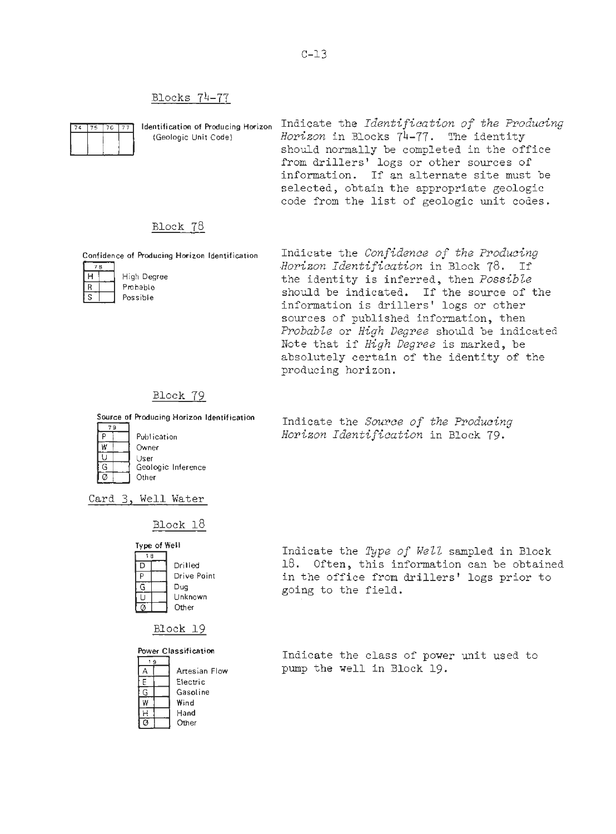#### Blocks 74-77

**Identification of Producing Horizon** Indicate the *Identification of the Producing* (Geologic Unit Code) *Horizon* in Blocks 74-77. The identity **(Geologic Unit Code)** *Horizon* in Blocks 74-77. The identity should normally be completed in the office from drillers' logs or other sources of information. If an alternate site must be selected, obtain the appropriate geologic code from the list of geologic unit codes.  $\begin{tabular}{c|c} \hline \textbf{Blocks} & 74--77 \\ \hline \hline \textbf{75} & 76 & 77 \\ \hline \textbf{16} & (Geologic Unit Code) \\ & (Geologic Unit Code) \\ & & (Geologic Unit Code) \\ \hline \textbf{178} & \textbf{Block} & 78 \\ \hline \textbf{18} & \textbf{High Degree} \\ \hline \textbf{R} & \textbf{Probable} \\ \hline \textbf{19} & \textbf{Posible} \\ \hline \end{tabular}$ 

#### Block 78

**Confidence of Rcducing Hwiron Identification** 



ە:

 $W$ 

G  $\overline{\circ}$  **High Degree Probable Possible** 

Indicate the *Confidence of the Producing .Horizon Identification* in Block 78. If the identity is inferred, then *Possible*  should be indicated. If the source of the information is drillers' logs or other sources of published information, then *Probable* or *High Degree* should be indicated Note that if *High Degree* is marked, be absolutely certain of the identity of the producing horizon.

# Block 79



**Geologic Inference** 

Indicate the *Source of the Producing Horizon Identification* in Block 79.

Card *3,* Well Water

**Other** 

Owner User

Publication

Block 18

| Type of Well |  |             |  |  |  |  |  |
|--------------|--|-------------|--|--|--|--|--|
| 18           |  |             |  |  |  |  |  |
| IJ           |  | Drilled     |  |  |  |  |  |
| ٥            |  | Drive Point |  |  |  |  |  |
|              |  | Dug         |  |  |  |  |  |
|              |  | Unknown     |  |  |  |  |  |
|              |  | Other       |  |  |  |  |  |

Block 19

**Power Classification** 

|    | Artesian Flow |
|----|---------------|
| Ε  | Flectric      |
| G  | Gasoline      |
| ₩  | Wind          |
| н  | Hand          |
| Ω, | Other         |

Indicate the *Type of Well* sampled in Block 18. Often, this information can be obtained in the office from drillers' logs prior to going to the field.

Indicate the class of power unit used to pump the well in Block 19.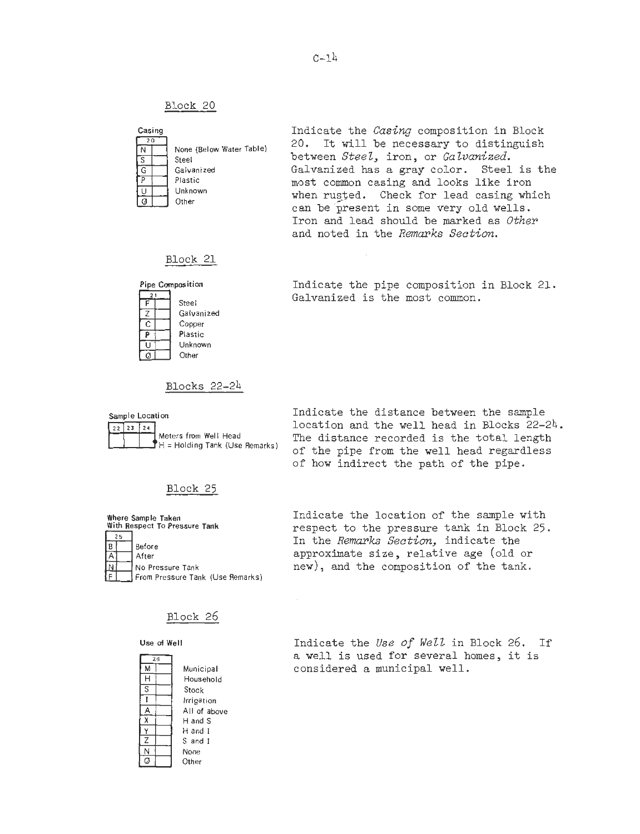

Indicate the *Casing* composition in Block 20. It will be necessary to distinguish between *Steel*, iron, or *Galvanized*. Galvanized has a gray color. Steel is the most common casing and looks like iron when rusted. Check for lead casing which can be present in some very old wells. Iron and lead should be marked as *Other*  and noted in the *Remarks Section.* 

#### Block 21



Indicate the pipe composition in Block 21. Galvanized is the most common.

# Blocks 22-24



Indicate the distance between the sample location and the well head in Blocks 22-24. The distance recorded is the total length of the pipe from the well head regardless of how indirect the path of the pipe.

# Block 25



Indicate the location of the sample with respect to the pressure tank in Block 25. In the *Remarks Section,* indicate the approximate size, relative age (old or new), and the composition of the tank.

# Block 26

 $\bar{z}$ 

**Use of Well** 

| 26 |              |
|----|--------------|
| м  | Municipal    |
| Н  | Household    |
| S  | Stock        |
|    | Irrigation   |
|    | All of above |
| x  | H and S      |
| Y  | H and I      |
| Z  | S and I      |
| N  | None         |
| C  | Other        |

Indicate the *Use of Well* in Block 26. **If**  a well is used for several homes, it is considered a municipal well.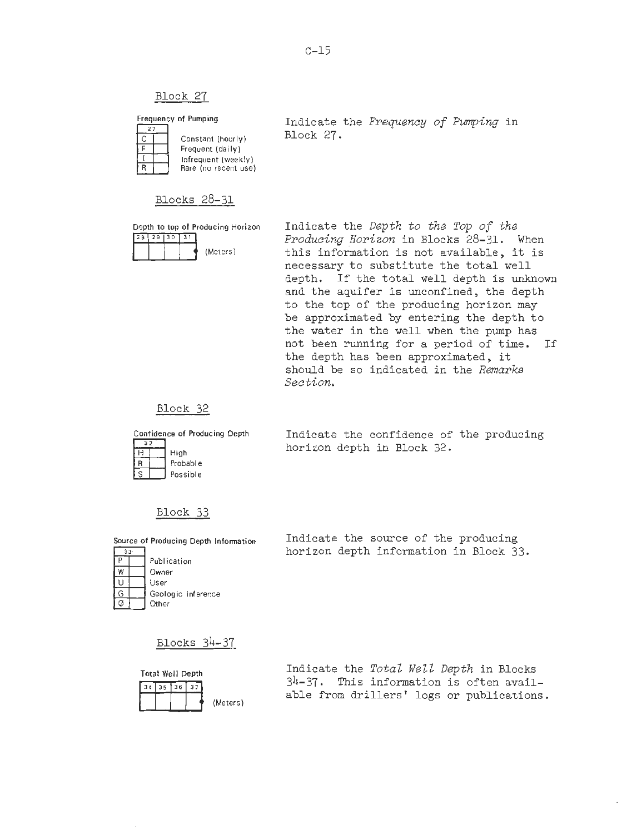**Frequency of Pumping**   $\overline{27}$ **Constant (hourly)**  ᅮ **Frequent (daily) Infrequent (weekly)**  R **Rare (no recent use)** 

Indicate the *Frequency of Pwnping* in Block 27.

# Blocks 28-31

**Depth to top of Producing Horizon** 

| 28 29 30 31 |  |          |
|-------------|--|----------|
|             |  | (Meters) |

Indicate the *Depth to the Top of the*  Producing Horizon in Blocks 28-31. When this information is not available, it is necessary to substitute the total well depth. If the total well depth is unknown and the aquifer is unconfined, the depth to the top of the producing horizon may be approximated by entering the depth to the water in the well when the pump has not been running for a period of time. If the depth has been approximated, it should be so indicated in the *Remarks Section.* 

## Block 32

**Confidence of Roducing Depth** 

|  | High     |
|--|----------|
|  | Probable |
|  | Possible |

Indicate the confidence of the producing horizon depth in Block 32.

### Block 33

**Source of Producing Depth Information** 

| 79. |                    |  |
|-----|--------------------|--|
|     | Publication        |  |
| W   | Owner              |  |
| υ   | User               |  |
| G   | Geologic inference |  |
|     | Other              |  |

Indicate the source of the producing horizon depth information in Block 33.

Blocks 34-37



Indicate the *Total We22 Depth* in Blocks 34-37. This information is often available from drillers' logs or publications.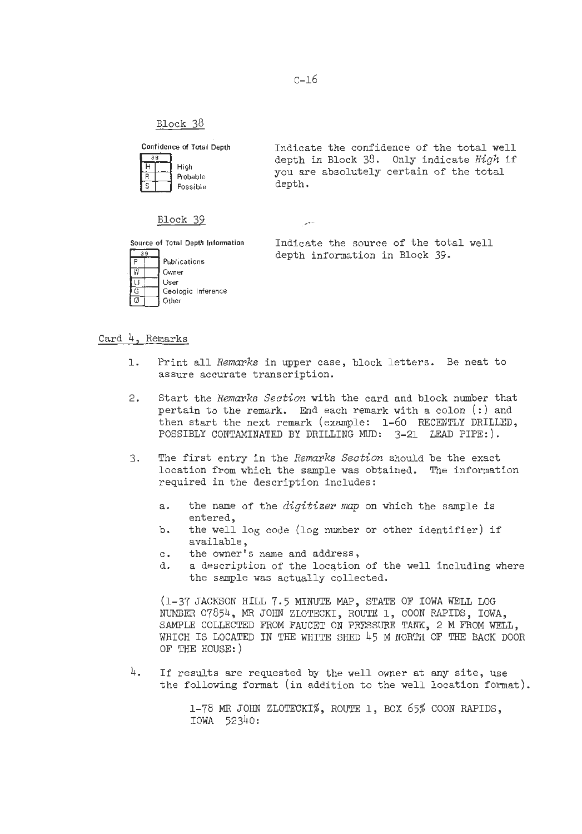Confidence of Total Depth **Indicate the confidence of the total well**  $\overline{3R}$ depth in Block 38. Only indicate *High* if  $\overline{H}$ **High**  High **Probable 31 and You are absolutely certain of the total Possible 31 and Apple 1.**<br>Possible 31 appth. Ħ **Possible** depth.  $\overline{s}$ 

#### Block 39

 $\overline{39}$ Publications w Cwner User  $\overline{1}$ **Geologic Inference** G **Other** 

**Source of Total Depth lnfonnation** Indicate the source of the total well depth information in Block 39.

#### Card 4, Remarks

- 1. Print all *Remarks* in upper case, block letters. Be neat to assure accurate transcription.
- 2. Start the *Remarks Section* with the card and block number that pertain to the remark. End each remark with a colon  $(:)$  and then start the next remark (example: 1-60 RECENTLY DRILLED, POSSIBLY CONTAMINATED BY DRILLING MUD: 3-21 LEAD PIPE:).
- 3. The first entry in the *Remarks Section* should be the exact location from which the sample was obtained. The information required in the description includes:
	- a. the name of the *digitizer* map on which the sample is entered,
	- b. the well log code (log number or other identifier) if available,
	- c. the owner's name and address,
	- d. a description of the location of the well including where the sample was actually collected.

(1-37 JACKSON HILL 7.5 **MINUTE** *MAF',* STATE OF IOWA WELL LOG NUMBER 07854, **MR** JOHN ZLOTECKI, ROUTE 1, COON RAPIDS, IOWA, SAMPLE COLLECTED FROM FAUCET ON PRESSURE TANK, 2 M FROM WELL, WHICH IS LOCATED IN THE WHITE SHED 45 M NORTH OF THE BACK DOOR OF THE HOUSE: )

 $4.$  If results are requested by the well owner at any site, use the following format (in addition to the well location format).

> 1-78 **MR** JOHN ZLOTECKI%, ROUTE 1, BOX 65% COON RAPIDS, IOWA 52340:

سير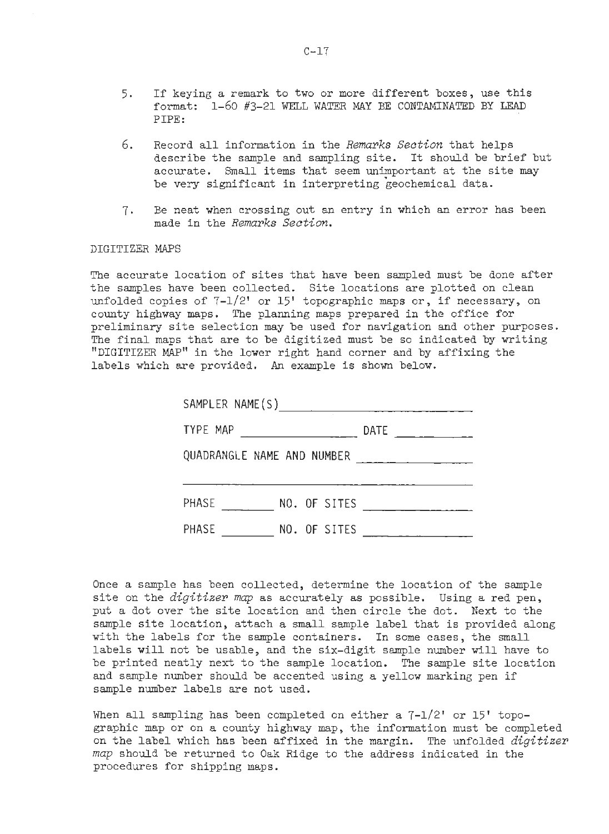- 5. If keying a remark to two or more different boxes, use this format: 1-60 #3-21 WELL WATER **MAY** BE CONTAMINATED BY LEAD PIPE:
- *6.* Record all information in the *Remarks Section* that helps describe the sample and sampling site. It should be brief but accurate. Small items that seem unimportant at the site may be very significant in interpreting geochemical data.
- 7. Be neat when crossing out an entry in which an error has been made in the *Remarks Section.*

#### DIGITIZER MAPS

The accurate location of sites that have been sampled must be done after the samples have been collected. Site locations are plotted on clean unfolded copies of 7-1/2' or 15' topographic maps or, if necessary, on county highway maps. The planning maps prepared in the office for preliminary site selection may be used for navigation and other purposes. The final maps that are to be digitized must be so indicated by writing "DIGITIZER MAP" in the lower right hand corner and by affixing the labels which are provided. **An** example is shown below.

| SAMPLER NAME(S)                                   |                                                                                                                                                                                                                                                                                                                                                                                                                                      |  |  |
|---------------------------------------------------|--------------------------------------------------------------------------------------------------------------------------------------------------------------------------------------------------------------------------------------------------------------------------------------------------------------------------------------------------------------------------------------------------------------------------------------|--|--|
| TYPE MAP<br><u> 1980 - Johann Barbara, martxa</u> | <b>DATE</b><br>$\frac{1}{1-\frac{1}{1-\frac{1}{1-\frac{1}{1-\frac{1}{1-\frac{1}{1-\frac{1}{1-\frac{1}{1-\frac{1}{1-\frac{1}{1-\frac{1}{1-\frac{1}{1-\frac{1}{1-\frac{1}{1-\frac{1}{1-\frac{1}{1-\frac{1}{1-\frac{1}{1-\frac{1}{1-\frac{1}{1-\frac{1}{1-\frac{1}{1-\frac{1}{1-\frac{1}{1-\frac{1}{1-\frac{1}{1-\frac{1}{1-\frac{1}{1-\frac{1}{1-\frac{1}{1-\frac{1}{1-\frac{1}{1-\frac{1}{1-\frac{1}{1-\frac{1}{1-\frac{1}{1-\frac{1$ |  |  |
| QUADRANGLE NAME AND NUMBER                        |                                                                                                                                                                                                                                                                                                                                                                                                                                      |  |  |
|                                                   |                                                                                                                                                                                                                                                                                                                                                                                                                                      |  |  |
| PHASE<br>NO. OF SITES                             |                                                                                                                                                                                                                                                                                                                                                                                                                                      |  |  |
| PHASE<br>NO. OF SITES                             |                                                                                                                                                                                                                                                                                                                                                                                                                                      |  |  |

Once a sample has been collected, determine the location of the sample site on the *digitizer map* as accurately as possible. Using a red pen, put a dot over the site location and then circle the dot. Next to the sample site location, attach a small sample label that is provided along with the labels for the sample containers. In some cases, the small labels will not be usable, and the six-digit sample number will have to be printed neatly next to the sample location. The sample site location and sample number should be accented using a yellow marking pen if sample number labels are not used.

When all sampling has been completed on either a  $7-1/2$ ' or  $15'$  topographic map or on a county highway map, the information must be completed on the label which has been affixed in the margin. The unfolded *digitizer*  **map** should be returned to Oak Ridge to the address indicated in the procedures for shipping maps.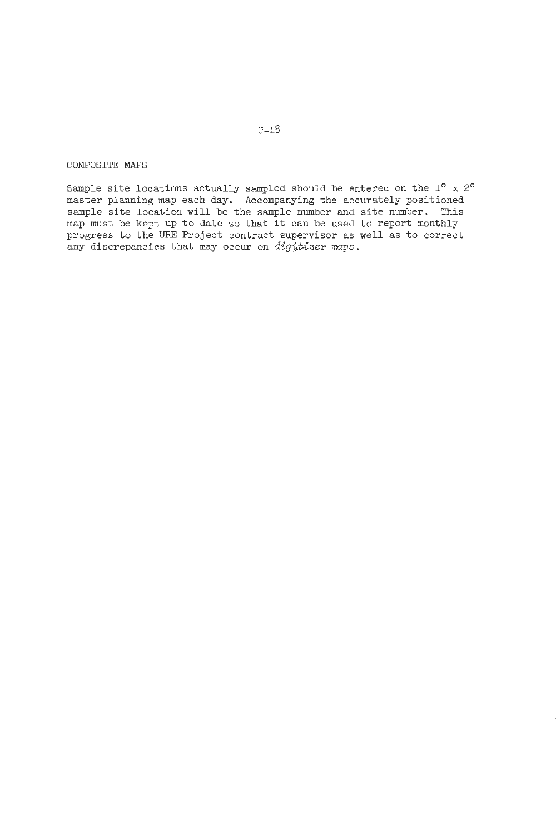# COMPOSITE *MAPS*

ample site locations actually sampled should be entered on the  $1^{\circ}$  x  $2^{\circ}$ master planning map each day. Accompanying the accurately positioned ample site location will be the sample number and site number. This map must be kept up to date so that it can be used to report monthly progress to the URE Project contract supervisor as well as to correct any discrepancies that may occur on *digitizer maps*.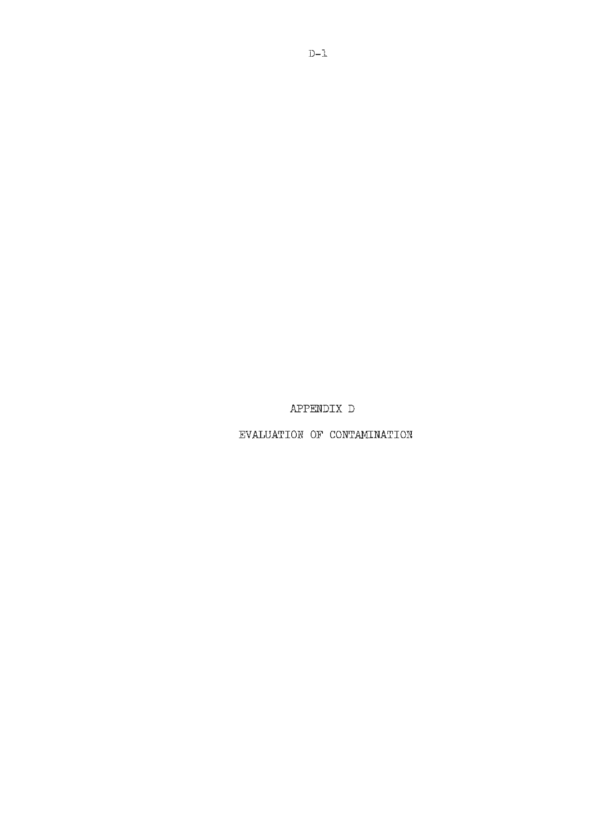APPENDIX D

EVALUATION OF CONTAMINATION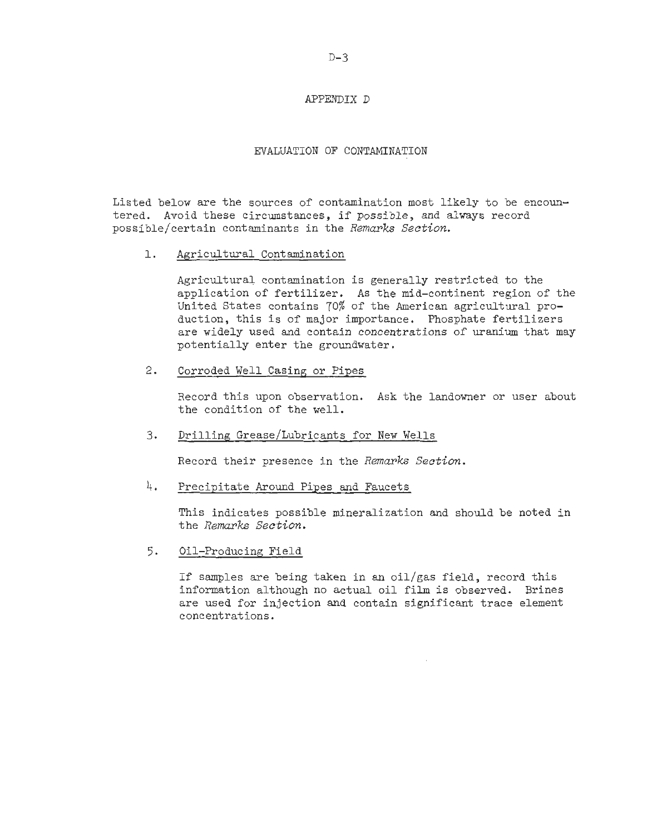#### APPENDIX D

#### EVALUATION OF CONTAMINATION

Listed below are the sources of contamination most likely to be encountered. Avoid these circumstances, if possible, and always record possible/certain contaminants in the *Remarks Section.* 

1. Agricultural Contamination

Agricultural contamination is generally restricted to the application of fertilizer. As the mid-continent region of the United States contains 70% of the American agricultural production, this is of major importance. Phosphate fertilizers are widely used and contain concentrations of uranium that may potentially enter the groundwater.

2. Corroded Well Casing or Pipes

Record this upon observation. Ask the landowner or user about the condition of the well.

3. Drilling Grease/Lubricants for New Wells

Record their presence in the *Remarks Section.* 

4. Precipitate Around Pipes and Faucets

This indicates possible mineralization and should be noted in the *Remarks Section.* 

5. Oil-Producing Field

If samples are being taken in an oil/gas field, record this information although no actual oil film is observed. Brines are used for injection and contain significant trace element concentrations.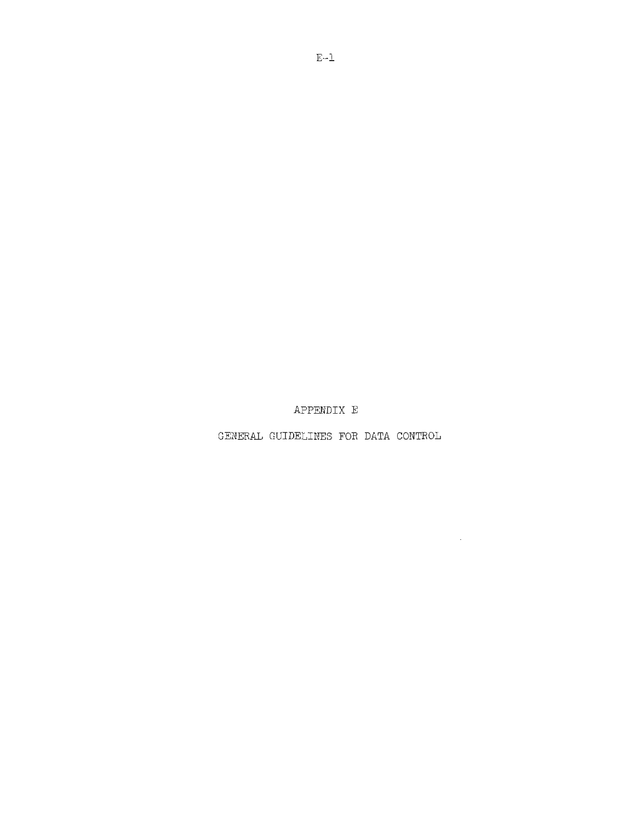APPENDIX E

GENERAL GUIDELINES FOR DATA CONTROL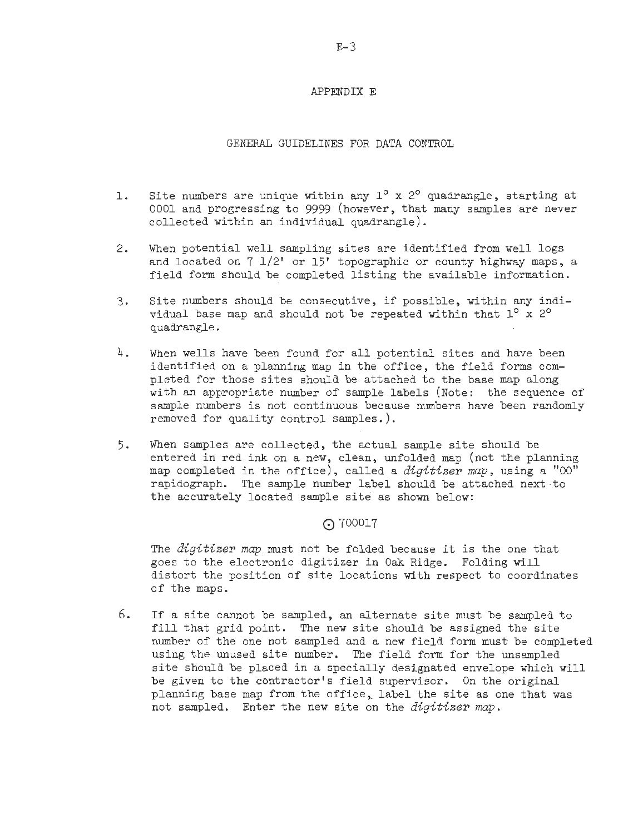#### APPENDIX E

GENERAL GUIDELINES FOR DATA CONTROL

- 1. Site numbers are unique within any 1<sup>o</sup> x 2<sup>o</sup> quadrangle, starting at 0001 and progressing to 9999 (however, that many samples are never collected within an individual quadrangle).
- 2. When potential well sampling sites are identified from well logs and located on  $7 \frac{1}{2}$ ' or  $15'$ ' topographic or county highway maps, a field form should be completed listing the available information.
- 3. Site numbers should be consecutive, if possible, within any individual base map and should not be repeated within that  $1^{\circ}$  x 2<sup>o</sup> quadrangle.
- $4.$  When wells have been found for all potential sites and have been identified on a planning map in the office, the field forms completed for those sites should be attached to the base map along with an appropriate number of sample labels (Note: the sequence of sample numbers is not continuous because numbers have been randomly removed for quality control samples. ).
- 5. When samples are collected, the actual sample site should be entered in red ink on a new, clean, unfolded map (not the planning map completed in the office), called a **digitizer** map, using a "00" rapidograph. The sample number label should be attached next-to the accurately located sample site as shown below:

## ⊙700017

The **digitizer map** must not be folded because it is the one that goes to the electronic digitizer in **Oak** Ridge. Folding will distort the position of site locations with respect to coordinates of the maps.

*6.* If a site cannot be sampled, an alternate site must be sampled to fill that grid point. The new site should be assigned the site number of the one not sampled and a new field form must be completed using the unused site number. The field form for the unsampled site should be placed in a specially designated envelope which will be given to the contractor's field supervisor. On the original planning base map from the office, label the site as one that was not sampled. Enter the new site on the **digitizer map.**